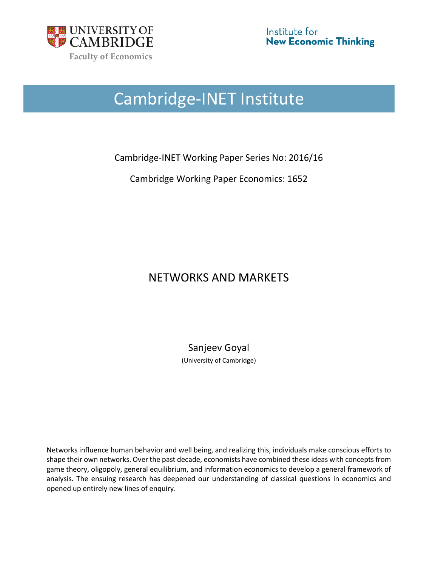

# Cambridge-INET Institute

## Cambridge-INET Working Paper Series No: 2016/16

Cambridge Working Paper Economics: 1652

## NETWORKS AND MARKETS

Sanjeev Goyal

(University of Cambridge)

Networks influence human behavior and well being, and realizing this, individuals make conscious efforts to shape their own networks. Over the past decade, economists have combined these ideas with concepts from game theory, oligopoly, general equilibrium, and information economics to develop a general framework of analysis. The ensuing research has deepened our understanding of classical questions in economics and opened up entirely new lines of enquiry.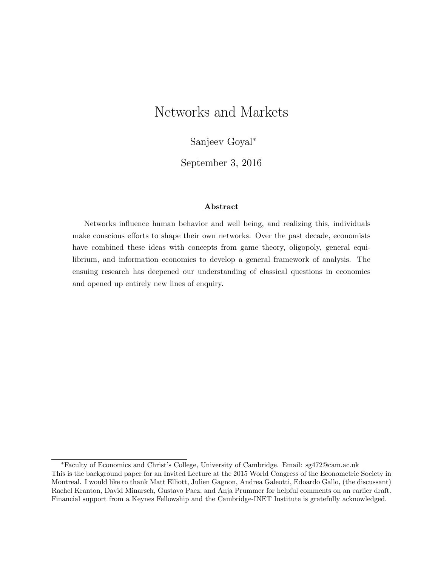## Networks and Markets

Sanjeev Goyal<sup>∗</sup>

September 3, 2016

#### Abstract

Networks influence human behavior and well being, and realizing this, individuals make conscious efforts to shape their own networks. Over the past decade, economists have combined these ideas with concepts from game theory, oligopoly, general equilibrium, and information economics to develop a general framework of analysis. The ensuing research has deepened our understanding of classical questions in economics and opened up entirely new lines of enquiry.

<sup>∗</sup>Faculty of Economics and Christ's College, University of Cambridge. Email: sg472@cam.ac.uk This is the background paper for an Invited Lecture at the 2015 World Congress of the Econometric Society in Montreal. I would like to thank Matt Elliott, Julien Gagnon, Andrea Galeotti, Edoardo Gallo, (the discussant) Rachel Kranton, David Minarsch, Gustavo Paez, and Anja Prummer for helpful comments on an earlier draft. Financial support from a Keynes Fellowship and the Cambridge-INET Institute is gratefully acknowledged.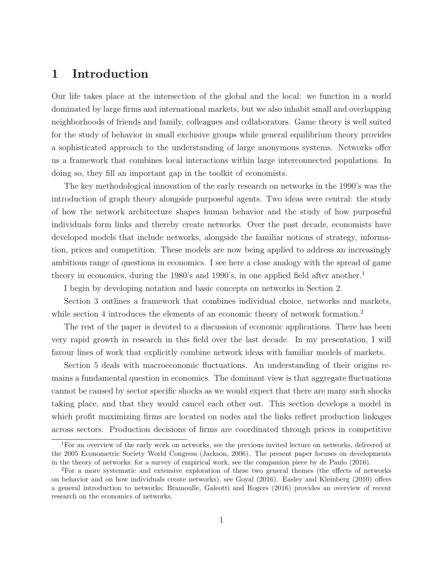## 1 Introduction

Our life takes place at the intersection of the global and the local: we function in a world dominated by large firms and international markets, but we also inhabit small and overlapping neighborhoods of friends and family, colleagues and collaborators. Game theory is well suited for the study of behavior in small exclusive groups while general equilibrium theory provides a sophisticated approach to the understanding of large anonymous systems. Networks offer us a framework that combines local interactions within large interconnected populations. In doing so, they fill an important gap in the toolkit of economists.

The key methodological innovation of the early research on networks in the 1990's was the introduction of graph theory alongside purposeful agents. Two ideas were central: the study of how the network architecture shapes human behavior and the study of how purposeful individuals form links and thereby create networks. Over the past decade, economists have developed models that include networks, alongside the familiar notions of strategy, information, prices and competition. These models are now being applied to address an increasingly ambitious range of questions in economics. I see here a close analogy with the spread of game theory in economics, during the 1980's and 1990's, in one applied field after another.<sup>1</sup>

I begin by developing notation and basic concepts on networks in Section 2.

Section 3 outlines a framework that combines individual choice, networks and markets, while section 4 introduces the elements of an economic theory of network formation.<sup>2</sup>

The rest of the paper is devoted to a discussion of economic applications. There has been very rapid growth in research in this field over the last decade. In my presentation, I will favour lines of work that explicitly combine network ideas with familiar models of markets.

Section 5 deals with macroeconomic fluctuations. An understanding of their origins remains a fundamental question in economics. The dominant view is that aggregate fluctuations cannot be caused by sector specific shocks as we would expect that there are many such shocks taking place, and that they would cancel each other out. This section develops a model in which profit maximizing firms are located on nodes and the links reflect production linkages across sectors. Production decisions of firms are coordinated through prices in competitive

<sup>&</sup>lt;sup>1</sup>For an overview of the early work on networks, see the previous invited lecture on networks, delivered at the 2005 Econometric Society World Congress (Jackson, 2006). The present paper focuses on developments in the theory of networks; for a survey of empirical work, see the companion piece by de Paulo (2016).

<sup>2</sup>For a more systematic and extensive exploration of these two general themes (the effects of networks on behavior and on how individuals create networks), see Goyal (2016). Easley and Kleinberg (2010) offers a general introduction to networks; Bramoulle, Galeotti and Rogers (2016) provides an overview of recent research on the economics of networks.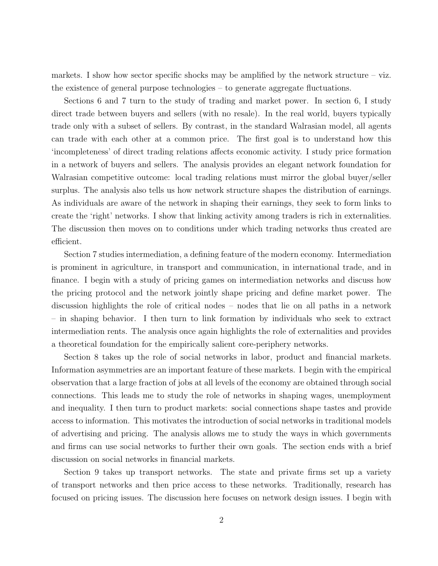markets. I show how sector specific shocks may be amplified by the network structure – viz. the existence of general purpose technologies – to generate aggregate fluctuations.

Sections 6 and 7 turn to the study of trading and market power. In section 6, I study direct trade between buyers and sellers (with no resale). In the real world, buyers typically trade only with a subset of sellers. By contrast, in the standard Walrasian model, all agents can trade with each other at a common price. The first goal is to understand how this 'incompleteness' of direct trading relations affects economic activity. I study price formation in a network of buyers and sellers. The analysis provides an elegant network foundation for Walrasian competitive outcome: local trading relations must mirror the global buyer/seller surplus. The analysis also tells us how network structure shapes the distribution of earnings. As individuals are aware of the network in shaping their earnings, they seek to form links to create the 'right' networks. I show that linking activity among traders is rich in externalities. The discussion then moves on to conditions under which trading networks thus created are efficient.

Section 7 studies intermediation, a defining feature of the modern economy. Intermediation is prominent in agriculture, in transport and communication, in international trade, and in finance. I begin with a study of pricing games on intermediation networks and discuss how the pricing protocol and the network jointly shape pricing and define market power. The discussion highlights the role of critical nodes – nodes that lie on all paths in a network – in shaping behavior. I then turn to link formation by individuals who seek to extract intermediation rents. The analysis once again highlights the role of externalities and provides a theoretical foundation for the empirically salient core-periphery networks.

Section 8 takes up the role of social networks in labor, product and financial markets. Information asymmetries are an important feature of these markets. I begin with the empirical observation that a large fraction of jobs at all levels of the economy are obtained through social connections. This leads me to study the role of networks in shaping wages, unemployment and inequality. I then turn to product markets: social connections shape tastes and provide access to information. This motivates the introduction of social networks in traditional models of advertising and pricing. The analysis allows me to study the ways in which governments and firms can use social networks to further their own goals. The section ends with a brief discussion on social networks in financial markets.

Section 9 takes up transport networks. The state and private firms set up a variety of transport networks and then price access to these networks. Traditionally, research has focused on pricing issues. The discussion here focuses on network design issues. I begin with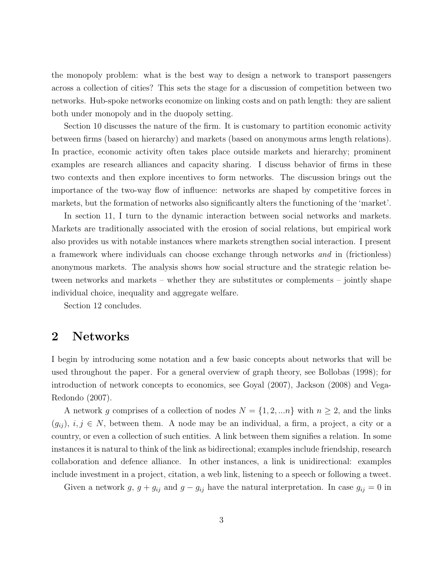the monopoly problem: what is the best way to design a network to transport passengers across a collection of cities? This sets the stage for a discussion of competition between two networks. Hub-spoke networks economize on linking costs and on path length: they are salient both under monopoly and in the duopoly setting.

Section 10 discusses the nature of the firm. It is customary to partition economic activity between firms (based on hierarchy) and markets (based on anonymous arms length relations). In practice, economic activity often takes place outside markets and hierarchy; prominent examples are research alliances and capacity sharing. I discuss behavior of firms in these two contexts and then explore incentives to form networks. The discussion brings out the importance of the two-way flow of influence: networks are shaped by competitive forces in markets, but the formation of networks also significantly alters the functioning of the 'market'.

In section 11, I turn to the dynamic interaction between social networks and markets. Markets are traditionally associated with the erosion of social relations, but empirical work also provides us with notable instances where markets strengthen social interaction. I present a framework where individuals can choose exchange through networks and in (frictionless) anonymous markets. The analysis shows how social structure and the strategic relation between networks and markets – whether they are substitutes or complements – jointly shape individual choice, inequality and aggregate welfare.

Section 12 concludes.

## 2 Networks

I begin by introducing some notation and a few basic concepts about networks that will be used throughout the paper. For a general overview of graph theory, see Bollobas (1998); for introduction of network concepts to economics, see Goyal (2007), Jackson (2008) and Vega-Redondo (2007).

A network g comprises of a collection of nodes  $N = \{1, 2, \ldots n\}$  with  $n \geq 2$ , and the links  $(g_{ij}), i, j \in N$ , between them. A node may be an individual, a firm, a project, a city or a country, or even a collection of such entities. A link between them signifies a relation. In some instances it is natural to think of the link as bidirectional; examples include friendship, research collaboration and defence alliance. In other instances, a link is unidirectional: examples include investment in a project, citation, a web link, listening to a speech or following a tweet.

Given a network g,  $g + g_{ij}$  and  $g - g_{ij}$  have the natural interpretation. In case  $g_{ij} = 0$  in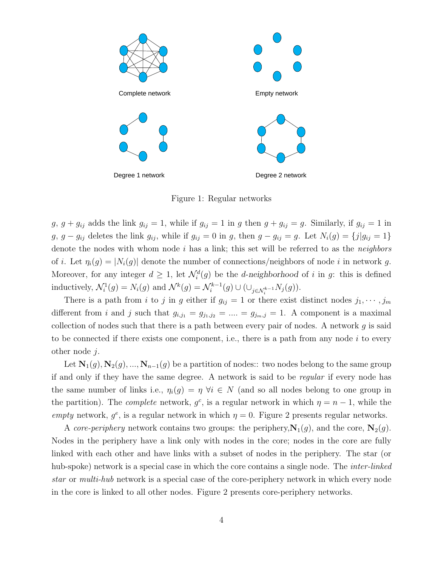

Figure 1: Regular networks

 $g, g + g_{ij}$  adds the link  $g_{ij} = 1$ , while if  $g_{ij} = 1$  in g then  $g + g_{ij} = g$ . Similarly, if  $g_{ij} = 1$  in g, g – g<sub>ij</sub> deletes the link g<sub>ij</sub>, while if g<sub>ij</sub> = 0 in g, then g – g<sub>ij</sub> = g. Let  $N_i(g) = \{j | g_{ij} = 1\}$ denote the nodes with whom node  $i$  has a link; this set will be referred to as the *neighbors* of i. Let  $\eta_i(g) = |N_i(g)|$  denote the number of connections/neighbors of node i in network g. Moreover, for any integer  $d \geq 1$ , let  $\mathcal{N}_i^d(g)$  be the *d*-neighborhood of *i* in *g*: this is defined inductively,  $\mathcal{N}_i^1(g) = N_i(g)$  and  $\mathcal{N}^k(g) = \mathcal{N}_i^{k-1}$  $\zeta_i^{k-1}(g) \cup (\cup_{j \in \mathcal{N}_i^{k-1}} N_j(g)).$ 

There is a path from i to j in g either if  $g_{ij} = 1$  or there exist distinct nodes  $j_1, \dots, j_m$ different from i and j such that  $g_{i,j_1} = g_{j_1,j_2} = ... = g_{j_m,j} = 1$ . A component is a maximal collection of nodes such that there is a path between every pair of nodes. A network  $g$  is said to be connected if there exists one component, i.e., there is a path from any node  $i$  to every other node j.

Let  $N_1(g), N_2(g), ..., N_{n-1}(g)$  be a partition of nodes:: two nodes belong to the same group if and only if they have the same degree. A network is said to be regular if every node has the same number of links i.e.,  $\eta_i(g) = \eta \ \forall i \in N$  (and so all nodes belong to one group in the partition). The *complete* network,  $g^c$ , is a regular network in which  $\eta = n - 1$ , while the empty network,  $g^e$ , is a regular network in which  $\eta = 0$ . Figure 2 presents regular networks.

A *core-periphery* network contains two groups: the periphery,  $N_1(q)$ , and the core,  $N_2(q)$ . Nodes in the periphery have a link only with nodes in the core; nodes in the core are fully linked with each other and have links with a subset of nodes in the periphery. The star (or hub-spoke) network is a special case in which the core contains a single node. The *inter-linked* star or multi-hub network is a special case of the core-periphery network in which every node in the core is linked to all other nodes. Figure 2 presents core-periphery networks.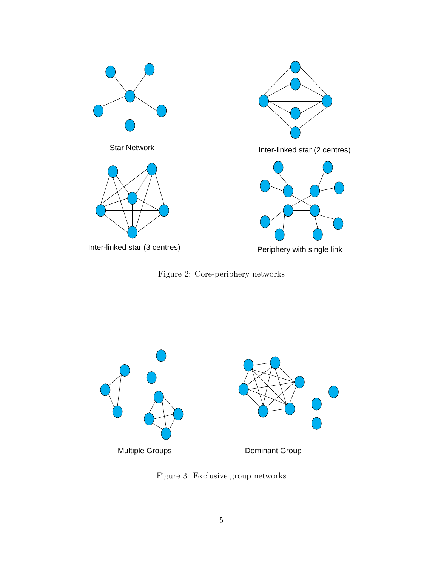





Figure 2: Core-periphery networks



Figure 3: Exclusive group networks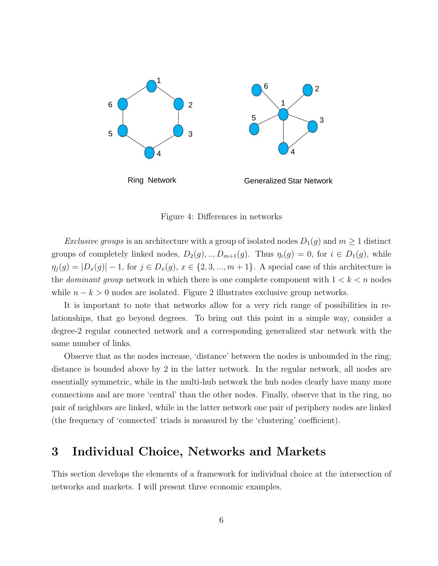

Figure 4: Differences in networks

Exclusive groups is an architecture with a group of isolated nodes  $D_1(g)$  and  $m \geq 1$  distinct groups of completely linked nodes,  $D_2(g),..., D_{m+1}(g)$ . Thus  $\eta_i(g) = 0$ , for  $i \in D_1(g)$ , while  $\eta_j(g) = |D_x(g)| - 1$ , for  $j \in D_x(g)$ ,  $x \in \{2, 3, ..., m+1\}$ . A special case of this architecture is the *dominant group* network in which there is one complete component with  $1 < k < n$  nodes while  $n - k > 0$  nodes are isolated. Figure 2 illustrates exclusive group networks.

It is important to note that networks allow for a very rich range of possibilities in relationships, that go beyond degrees. To bring out this point in a simple way, consider a degree-2 regular connected network and a corresponding generalized star network with the same number of links.

Observe that as the nodes increase, 'distance' between the nodes is unbounded in the ring; distance is bounded above by 2 in the latter network. In the regular network, all nodes are essentially symmetric, while in the multi-hub network the hub nodes clearly have many more connections and are more 'central' than the other nodes. Finally, observe that in the ring, no pair of neighbors are linked, while in the latter network one pair of periphery nodes are linked (the frequency of 'connected' triads is measured by the 'clustering' coefficient).

## 3 Individual Choice, Networks and Markets

This section develops the elements of a framework for individual choice at the intersection of networks and markets. I will present three economic examples.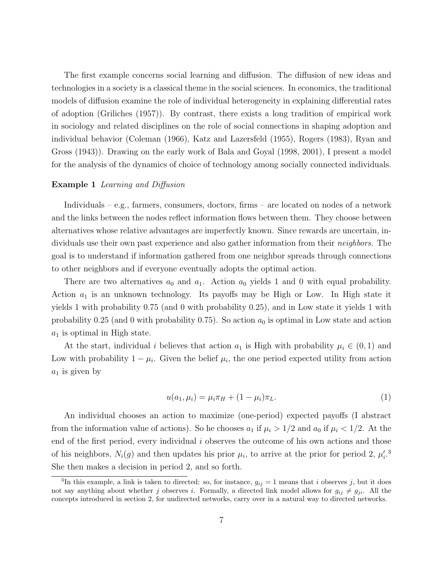The first example concerns social learning and diffusion. The diffusion of new ideas and technologies in a society is a classical theme in the social sciences. In economics, the traditional models of diffusion examine the role of individual heterogeneity in explaining differential rates of adoption (Griliches (1957)). By contrast, there exists a long tradition of empirical work in sociology and related disciplines on the role of social connections in shaping adoption and individual behavior (Coleman (1966), Katz and Lazersfeld (1955), Rogers (1983), Ryan and Gross (1943)). Drawing on the early work of Bala and Goyal (1998, 2001), I present a model for the analysis of the dynamics of choice of technology among socially connected individuals.

#### Example 1 Learning and Diffusion

Individuals – e.g., farmers, consumers, doctors, firms – are located on nodes of a network and the links between the nodes reflect information flows between them. They choose between alternatives whose relative advantages are imperfectly known. Since rewards are uncertain, individuals use their own past experience and also gather information from their *neighbors*. The goal is to understand if information gathered from one neighbor spreads through connections to other neighbors and if everyone eventually adopts the optimal action.

There are two alternatives  $a_0$  and  $a_1$ . Action  $a_0$  yields 1 and 0 with equal probability. Action  $a_1$  is an unknown technology. Its payoffs may be High or Low. In High state it yields 1 with probability 0.75 (and 0 with probability 0.25), and in Low state it yields 1 with probability 0.25 (and 0 with probability 0.75). So action  $a_0$  is optimal in Low state and action  $a_1$  is optimal in High state.

At the start, individual i believes that action  $a_1$  is High with probability  $\mu_i \in (0,1)$  and Low with probability  $1 - \mu_i$ . Given the belief  $\mu_i$ , the one period expected utility from action  $a_1$  is given by

$$
u(a_1, \mu_i) = \mu_i \pi_H + (1 - \mu_i) \pi_L.
$$
\n(1)

An individual chooses an action to maximize (one-period) expected payoffs (I abstract from the information value of actions). So he chooses  $a_1$  if  $\mu_i > 1/2$  and  $a_0$  if  $\mu_i < 1/2$ . At the end of the first period, every individual  $i$  observes the outcome of his own actions and those of his neighbors,  $N_i(g)$  and then updates his prior  $\mu_i$ , to arrive at the prior for period 2,  $\mu'_i$ <sup>3</sup> She then makes a decision in period 2, and so forth.

<sup>&</sup>lt;sup>3</sup>In this example, a link is taken to directed: so, for instance,  $g_{ij} = 1$  means that i observes j, but it does not say anything about whether j observes i. Formally, a directed link model allows for  $g_{ij} \neq g_{ji}$ . All the concepts introduced in section 2, for undirected networks, carry over in a natural way to directed networks.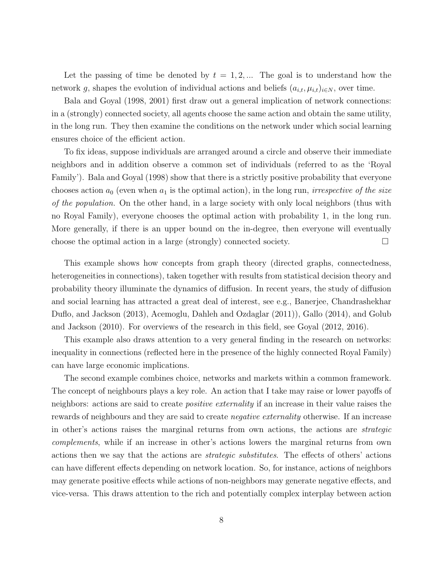Let the passing of time be denoted by  $t = 1, 2, ...$  The goal is to understand how the network g, shapes the evolution of individual actions and beliefs  $(a_{i,t}, \mu_{i,t})_{i \in N}$ , over time.

Bala and Goyal (1998, 2001) first draw out a general implication of network connections: in a (strongly) connected society, all agents choose the same action and obtain the same utility, in the long run. They then examine the conditions on the network under which social learning ensures choice of the efficient action.

To fix ideas, suppose individuals are arranged around a circle and observe their immediate neighbors and in addition observe a common set of individuals (referred to as the 'Royal Family'). Bala and Goyal (1998) show that there is a strictly positive probability that everyone chooses action  $a_0$  (even when  $a_1$  is the optimal action), in the long run, *irrespective of the size* of the population. On the other hand, in a large society with only local neighbors (thus with no Royal Family), everyone chooses the optimal action with probability 1, in the long run. More generally, if there is an upper bound on the in-degree, then everyone will eventually choose the optimal action in a large (strongly) connected society.  $\Box$ 

This example shows how concepts from graph theory (directed graphs, connectedness, heterogeneities in connections), taken together with results from statistical decision theory and probability theory illuminate the dynamics of diffusion. In recent years, the study of diffusion and social learning has attracted a great deal of interest, see e.g., Banerjee, Chandrashekhar Duflo, and Jackson (2013), Acemoglu, Dahleh and Ozdaglar (2011)), Gallo (2014), and Golub and Jackson (2010). For overviews of the research in this field, see Goyal (2012, 2016).

This example also draws attention to a very general finding in the research on networks: inequality in connections (reflected here in the presence of the highly connected Royal Family) can have large economic implications.

The second example combines choice, networks and markets within a common framework. The concept of neighbours plays a key role. An action that I take may raise or lower payoffs of neighbors: actions are said to create *positive externality* if an increase in their value raises the rewards of neighbours and they are said to create negative externality otherwise. If an increase in other's actions raises the marginal returns from own actions, the actions are strategic complements, while if an increase in other's actions lowers the marginal returns from own actions then we say that the actions are strategic substitutes. The effects of others' actions can have different effects depending on network location. So, for instance, actions of neighbors may generate positive effects while actions of non-neighbors may generate negative effects, and vice-versa. This draws attention to the rich and potentially complex interplay between action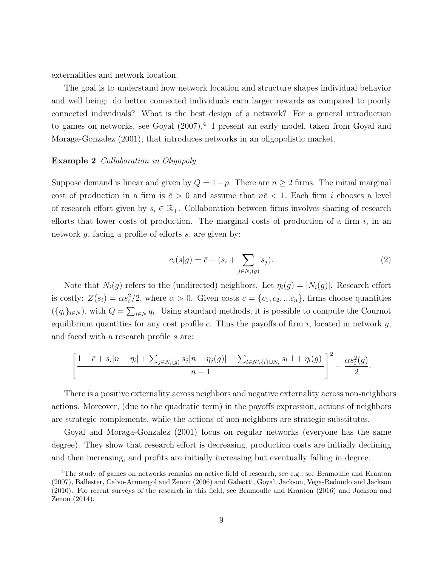externalities and network location.

The goal is to understand how network location and structure shapes individual behavior and well being: do better connected individuals earn larger rewards as compared to poorly connected individuals? What is the best design of a network? For a general introduction to games on networks, see Goyal  $(2007)^{4}$  I present an early model, taken from Goyal and Moraga-Gonzalez (2001), that introduces networks in an oligopolistic market.

#### Example 2 Collaboration in Oligopoly

Suppose demand is linear and given by  $Q = 1-p$ . There are  $n \geq 2$  firms. The initial marginal cost of production in a firm is  $\bar{c} > 0$  and assume that  $n\bar{c} < 1$ . Each firm i chooses a level of research effort given by  $s_i \in \mathbb{R}_+$ . Collaboration between firms involves sharing of research efforts that lower costs of production. The marginal costs of production of a firm  $i$ , in an network g, facing a profile of efforts s, are given by:

$$
c_i(s|g) = \bar{c} - (s_i + \sum_{j \in N_i(g)} s_j).
$$
 (2)

Note that  $N_i(g)$  refers to the (undirected) neighbors. Let  $\eta_i(g) = |N_i(g)|$ . Research effort is costly:  $Z(s_i) = \alpha s_i^2/2$ , where  $\alpha > 0$ . Given costs  $c = \{c_1, c_2, ... c_n\}$ , firms choose quantities  $({q_i}_{i\in N})$ , with  $Q = \sum_{i\in N} q_i$ . Using standard methods, it is possible to compute the Cournot equilibrium quantities for any cost profile c. Thus the payoffs of firm  $i$ , located in network  $g$ , and faced with a research profile s are:

$$
\left[\frac{1-\bar{c}+s_i[n-\eta_i]+\sum_{j\in N_i(g)}s_j[n-\eta_j(g)]-\sum_{l\in N\setminus\{i\}\cup N_i}s_l[1+\eta_l(g)]}{n+1}\right]^2-\frac{\alpha s_i^2(g)}{2}.
$$

There is a positive externality across neighbors and negative externality across non-neighbors actions. Moreover, (due to the quadratic term) in the payoffs expression, actions of neighbors are strategic complements, while the actions of non-neighbors are strategic substitutes.

Goyal and Moraga-Gonzalez (2001) focus on regular networks (everyone has the same degree). They show that research effort is decreasing, production costs are initially declining and then increasing, and profits are initially increasing but eventually falling in degree.

<sup>&</sup>lt;sup>4</sup>The study of games on networks remains an active field of research, see e.g., see Bramoulle and Kranton (2007), Ballester, Calvo-Armengol and Zenou (2006) and Galeotti, Goyal, Jackson, Vega-Redondo and Jackson (2010). For recent surveys of the research in this field, see Bramoulle and Kranton (2016) and Jackson and Zenou (2014).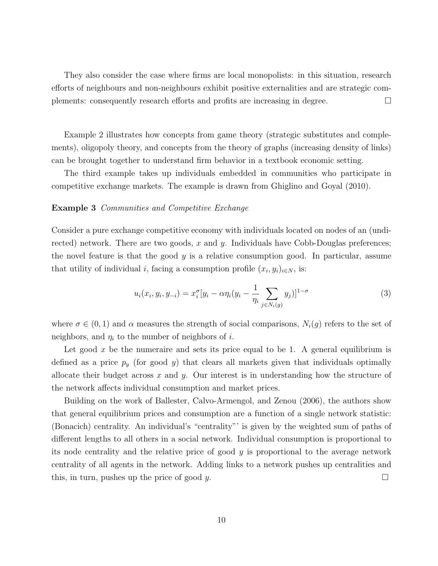They also consider the case where firms are local monopolists: in this situation, research efforts of neighbours and non-neighbours exhibit positive externalities and are strategic complements: consequently research efforts and profits are increasing in degree.

Example 2 illustrates how concepts from game theory (strategic substitutes and complements), oligopoly theory, and concepts from the theory of graphs (increasing density of links) can be brought together to understand firm behavior in a textbook economic setting.

The third example takes up individuals embedded in communities who participate in competitive exchange markets. The example is drawn from Ghiglino and Goyal (2010).

#### Example 3 Communities and Competitive Exchange

Consider a pure exchange competitive economy with individuals located on nodes of an (undirected) network. There are two goods, x and y. Individuals have Cobb-Douglas preferences; the novel feature is that the good  $y$  is a relative consumption good. In particular, assume that utility of individual *i*, facing a consumption profile  $(x_i, y_i)_{i \in N}$ , is:

$$
u_i(x_i, y_i, y_{-i}) = x_i^{\sigma} [y_i - \alpha \eta_i (y_i - \frac{1}{\eta_i} \sum_{j \in N_i(g)} y_j)]^{1-\sigma}
$$
\n(3)

where  $\sigma \in (0,1)$  and  $\alpha$  measures the strength of social comparisons,  $N_i(g)$  refers to the set of neighbors, and  $\eta_i$  to the number of neighbors of i.

Let good  $x$  be the numeraire and sets its price equal to be 1. A general equilibrium is defined as a price  $p_y$  (for good y) that clears all markets given that individuals optimally allocate their budget across x and y. Our interest is in understanding how the structure of the network affects individual consumption and market prices.

Building on the work of Ballester, Calvo-Armengol, and Zenou (2006), the authors show that general equilibrium prices and consumption are a function of a single network statistic: (Bonacich) centrality. An individual's "centrality"' is given by the weighted sum of paths of different lengths to all others in a social network. Individual consumption is proportional to its node centrality and the relative price of good y is proportional to the average network centrality of all agents in the network. Adding links to a network pushes up centralities and this, in turn, pushes up the price of good y.  $\square$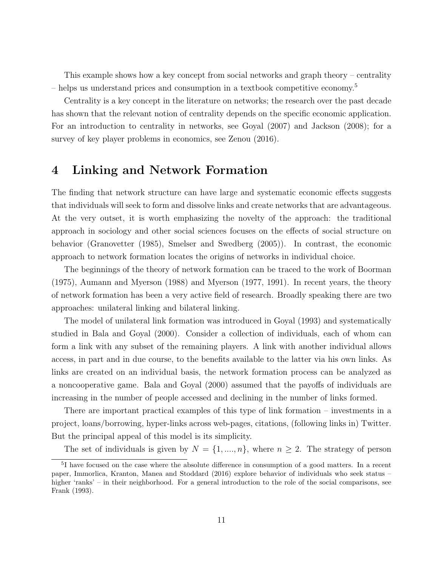This example shows how a key concept from social networks and graph theory – centrality – helps us understand prices and consumption in a textbook competitive economy.<sup>5</sup>

Centrality is a key concept in the literature on networks; the research over the past decade has shown that the relevant notion of centrality depends on the specific economic application. For an introduction to centrality in networks, see Goyal (2007) and Jackson (2008); for a survey of key player problems in economics, see Zenou (2016).

## 4 Linking and Network Formation

The finding that network structure can have large and systematic economic effects suggests that individuals will seek to form and dissolve links and create networks that are advantageous. At the very outset, it is worth emphasizing the novelty of the approach: the traditional approach in sociology and other social sciences focuses on the effects of social structure on behavior (Granovetter (1985), Smelser and Swedberg (2005)). In contrast, the economic approach to network formation locates the origins of networks in individual choice.

The beginnings of the theory of network formation can be traced to the work of Boorman (1975), Aumann and Myerson (1988) and Myerson (1977, 1991). In recent years, the theory of network formation has been a very active field of research. Broadly speaking there are two approaches: unilateral linking and bilateral linking.

The model of unilateral link formation was introduced in Goyal (1993) and systematically studied in Bala and Goyal (2000). Consider a collection of individuals, each of whom can form a link with any subset of the remaining players. A link with another individual allows access, in part and in due course, to the benefits available to the latter via his own links. As links are created on an individual basis, the network formation process can be analyzed as a noncooperative game. Bala and Goyal (2000) assumed that the payoffs of individuals are increasing in the number of people accessed and declining in the number of links formed.

There are important practical examples of this type of link formation – investments in a project, loans/borrowing, hyper-links across web-pages, citations, (following links in) Twitter. But the principal appeal of this model is its simplicity.

The set of individuals is given by  $N = \{1, ..., n\}$ , where  $n \geq 2$ . The strategy of person

<sup>&</sup>lt;sup>5</sup>I have focused on the case where the absolute difference in consumption of a good matters. In a recent paper, Immorlica, Kranton, Manea and Stoddard (2016) explore behavior of individuals who seek status – higher 'ranks' – in their neighborhood. For a general introduction to the role of the social comparisons, see Frank (1993).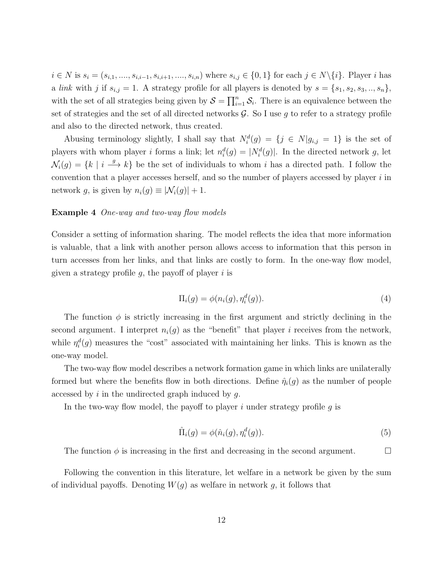$i \in N$  is  $s_i = (s_{i,1}, \ldots, s_{i,i-1}, s_{i,i+1}, \ldots, s_{i,n})$  where  $s_{i,j} \in \{0,1\}$  for each  $j \in N\setminus\{i\}$ . Player *i* has a link with j if  $s_{i,j} = 1$ . A strategy profile for all players is denoted by  $s = \{s_1, s_2, s_3, ..., s_n\}$ , with the set of all strategies being given by  $S = \prod_{i=1}^n S_i$ . There is an equivalence between the set of strategies and the set of all directed networks  $\mathcal{G}$ . So I use g to refer to a strategy profile and also to the directed network, thus created.

Abusing terminology slightly, I shall say that  $N_i^d(g) = \{j \in N | g_{i,j} = 1\}$  is the set of players with whom player *i* forms a link; let  $n_i^d(g) = |N_i^d(g)|$ . In the directed network g, let  $\mathcal{N}_i(g) = \{k \mid i \stackrel{g}{\longrightarrow} k\}$  be the set of individuals to whom i has a directed path. I follow the convention that a player accesses herself, and so the number of players accessed by player  $i$  in network g, is given by  $n_i(g) \equiv |\mathcal{N}_i(g)| + 1$ .

#### Example 4 One-way and two-way flow models

Consider a setting of information sharing. The model reflects the idea that more information is valuable, that a link with another person allows access to information that this person in turn accesses from her links, and that links are costly to form. In the one-way flow model, given a strategy profile q, the payoff of player  $i$  is

$$
\Pi_i(g) = \phi(n_i(g), \eta_i^d(g)).
$$
\n(4)

The function  $\phi$  is strictly increasing in the first argument and strictly declining in the second argument. I interpret  $n_i(g)$  as the "benefit" that player i receives from the network, while  $\eta_i^d(g)$  measures the "cost" associated with maintaining her links. This is known as the one-way model.

The two-way flow model describes a network formation game in which links are unilaterally formed but where the benefits flow in both directions. Define  $\hat{\eta}_i(q)$  as the number of people accessed by  $i$  in the undirected graph induced by  $q$ .

In the two-way flow model, the payoff to player i under strategy profile  $q$  is

$$
\hat{\Pi}_i(g) = \phi(\hat{n}_i(g), \eta_i^d(g)).
$$
\n(5)

The function  $\phi$  is increasing in the first and decreasing in the second argument.

Following the convention in this literature, let welfare in a network be given by the sum of individual payoffs. Denoting  $W(g)$  as welfare in network g, it follows that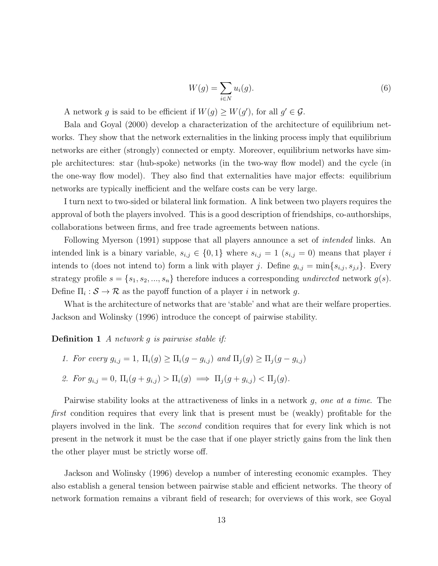$$
W(g) = \sum_{i \in N} u_i(g). \tag{6}
$$

A network g is said to be efficient if  $W(g) \geq W(g')$ , for all  $g' \in \mathcal{G}$ .

Bala and Goyal (2000) develop a characterization of the architecture of equilibrium networks. They show that the network externalities in the linking process imply that equilibrium networks are either (strongly) connected or empty. Moreover, equilibrium networks have simple architectures: star (hub-spoke) networks (in the two-way flow model) and the cycle (in the one-way flow model). They also find that externalities have major effects: equilibrium networks are typically inefficient and the welfare costs can be very large.

I turn next to two-sided or bilateral link formation. A link between two players requires the approval of both the players involved. This is a good description of friendships, co-authorships, collaborations between firms, and free trade agreements between nations.

Following Myerson (1991) suppose that all players announce a set of *intended* links. An intended link is a binary variable,  $s_{i,j} \in \{0,1\}$  where  $s_{i,j} = 1$   $(s_{i,j} = 0)$  means that player i intends to (does not intend to) form a link with player j. Define  $g_{i,j} = \min\{s_{i,j}, s_{j,i}\}\.$  Every strategy profile  $s = \{s_1, s_2, ..., s_n\}$  therefore induces a corresponding undirected network  $g(s)$ . Define  $\Pi_i: \mathcal{S} \to \mathcal{R}$  as the payoff function of a player i in network g.

What is the architecture of networks that are 'stable' and what are their welfare properties. Jackson and Wolinsky (1996) introduce the concept of pairwise stability.

**Definition 1** A network q is pairwise stable if:

- 1. For every  $g_{i,j} = 1$ ,  $\Pi_i(g) \ge \Pi_i(g g_{i,j})$  and  $\Pi_j(g) \ge \Pi_j(g g_{i,j})$
- 2. For  $g_{i,j} = 0$ ,  $\Pi_i(g + g_{i,j}) > \Pi_i(g) \implies \Pi_j(g + g_{i,j}) < \Pi_j(g)$ .

Pairwise stability looks at the attractiveness of links in a network g, one at a time. The first condition requires that every link that is present must be (weakly) profitable for the players involved in the link. The second condition requires that for every link which is not present in the network it must be the case that if one player strictly gains from the link then the other player must be strictly worse off.

Jackson and Wolinsky (1996) develop a number of interesting economic examples. They also establish a general tension between pairwise stable and efficient networks. The theory of network formation remains a vibrant field of research; for overviews of this work, see Goyal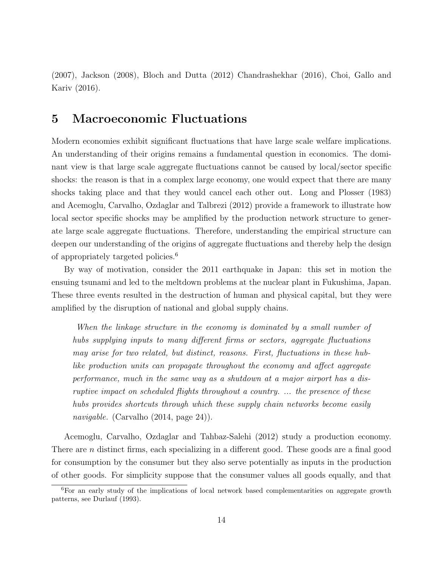(2007), Jackson (2008), Bloch and Dutta (2012) Chandrashekhar (2016), Choi, Gallo and Kariv (2016).

## 5 Macroeconomic Fluctuations

Modern economies exhibit significant fluctuations that have large scale welfare implications. An understanding of their origins remains a fundamental question in economics. The dominant view is that large scale aggregate fluctuations cannot be caused by local/sector specific shocks: the reason is that in a complex large economy, one would expect that there are many shocks taking place and that they would cancel each other out. Long and Plosser (1983) and Acemoglu, Carvalho, Ozdaglar and Talbrezi (2012) provide a framework to illustrate how local sector specific shocks may be amplified by the production network structure to generate large scale aggregate fluctuations. Therefore, understanding the empirical structure can deepen our understanding of the origins of aggregate fluctuations and thereby help the design of appropriately targeted policies.<sup>6</sup>

By way of motivation, consider the 2011 earthquake in Japan: this set in motion the ensuing tsunami and led to the meltdown problems at the nuclear plant in Fukushima, Japan. These three events resulted in the destruction of human and physical capital, but they were amplified by the disruption of national and global supply chains.

When the linkage structure in the economy is dominated by a small number of hubs supplying inputs to many different firms or sectors, aggregate fluctuations may arise for two related, but distinct, reasons. First, fluctuations in these hublike production units can propagate throughout the economy and affect aggregate performance, much in the same way as a shutdown at a major airport has a disruptive impact on scheduled flights throughout a country. ... the presence of these hubs provides shortcuts through which these supply chain networks become easily navigable. (Carvalho  $(2014, \text{ page } 24)$ ).

Acemoglu, Carvalho, Ozdaglar and Tahbaz-Salehi (2012) study a production economy. There are *n* distinct firms, each specializing in a different good. These goods are a final good for consumption by the consumer but they also serve potentially as inputs in the production of other goods. For simplicity suppose that the consumer values all goods equally, and that

<sup>6</sup>For an early study of the implications of local network based complementarities on aggregate growth patterns, see Durlauf (1993).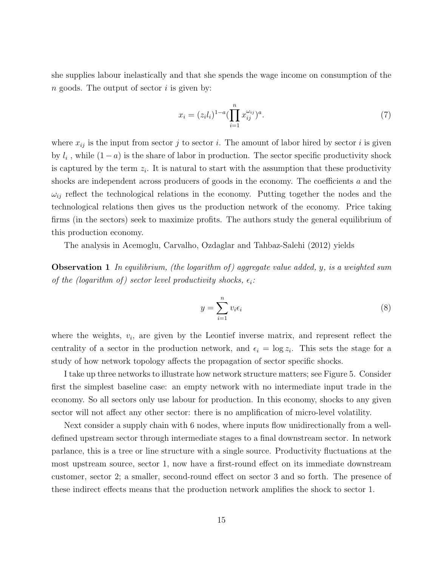she supplies labour inelastically and that she spends the wage income on consumption of the n goods. The output of sector  $i$  is given by:

$$
x_i = (z_i l_i)^{1-a} (\prod_{i=1}^n x_{ij}^{\omega_{ij}})^a.
$$
 (7)

where  $x_{ij}$  is the input from sector j to sector i. The amount of labor hired by sector i is given by  $l_i$ , while  $(1 - a)$  is the share of labor in production. The sector specific productivity shock is captured by the term  $z_i$ . It is natural to start with the assumption that these productivity shocks are independent across producers of goods in the economy. The coefficients a and the  $\omega_{ij}$  reflect the technological relations in the economy. Putting together the nodes and the technological relations then gives us the production network of the economy. Price taking firms (in the sectors) seek to maximize profits. The authors study the general equilibrium of this production economy.

The analysis in Acemoglu, Carvalho, Ozdaglar and Tahbaz-Salehi (2012) yields

**Observation 1** In equilibrium, (the logarithm of) aggregate value added, y, is a weighted sum of the (logarithm of) sector level productivity shocks,  $\epsilon_i$ :

$$
y = \sum_{i=1}^{n} v_i \epsilon_i \tag{8}
$$

where the weights,  $v_i$ , are given by the Leontief inverse matrix, and represent reflect the centrality of a sector in the production network, and  $\epsilon_i = \log z_i$ . This sets the stage for a study of how network topology affects the propagation of sector specific shocks.

I take up three networks to illustrate how network structure matters; see Figure 5. Consider first the simplest baseline case: an empty network with no intermediate input trade in the economy. So all sectors only use labour for production. In this economy, shocks to any given sector will not affect any other sector: there is no amplification of micro-level volatility.

Next consider a supply chain with 6 nodes, where inputs flow unidirectionally from a welldefined upstream sector through intermediate stages to a final downstream sector. In network parlance, this is a tree or line structure with a single source. Productivity fluctuations at the most upstream source, sector 1, now have a first-round effect on its immediate downstream customer, sector 2; a smaller, second-round effect on sector 3 and so forth. The presence of these indirect effects means that the production network amplifies the shock to sector 1.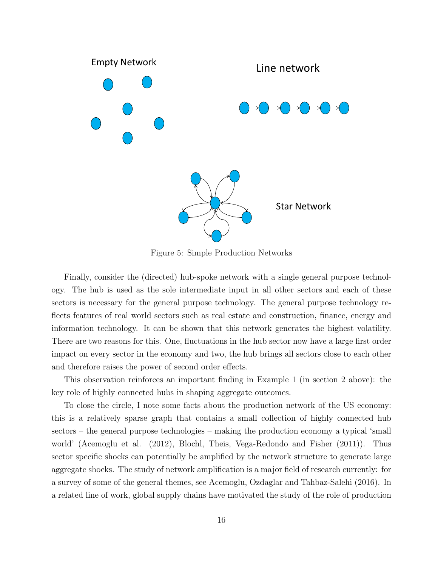

Figure 5: Simple Production Networks

Finally, consider the (directed) hub-spoke network with a single general purpose technology. The hub is used as the sole intermediate input in all other sectors and each of these sectors is necessary for the general purpose technology. The general purpose technology reflects features of real world sectors such as real estate and construction, finance, energy and information technology. It can be shown that this network generates the highest volatility. There are two reasons for this. One, fluctuations in the hub sector now have a large first order impact on every sector in the economy and two, the hub brings all sectors close to each other and therefore raises the power of second order effects.

This observation reinforces an important finding in Example 1 (in section 2 above): the key role of highly connected hubs in shaping aggregate outcomes.

To close the circle, I note some facts about the production network of the US economy: this is a relatively sparse graph that contains a small collection of highly connected hub sectors – the general purpose technologies – making the production economy a typical 'small world' (Acemoglu et al. (2012), Blochl, Theis, Vega-Redondo and Fisher (2011)). Thus sector specific shocks can potentially be amplified by the network structure to generate large aggregate shocks. The study of network amplification is a major field of research currently: for a survey of some of the general themes, see Acemoglu, Ozdaglar and Tahbaz-Salehi (2016). In a related line of work, global supply chains have motivated the study of the role of production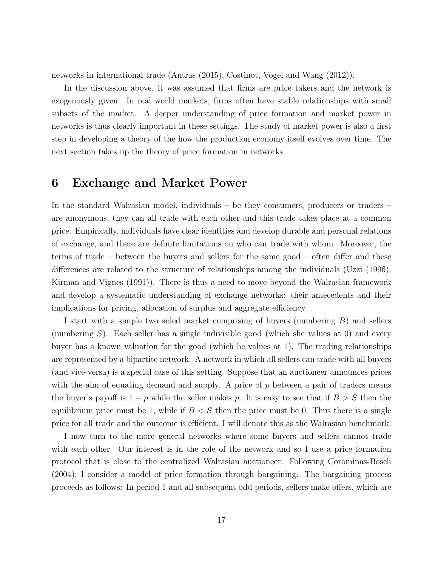networks in international trade (Antras (2015), Costinot, Vogel and Wang (2012)).

In the discussion above, it was assumed that firms are price takers and the network is exogenously given. In real world markets, firms often have stable relationships with small subsets of the market. A deeper understanding of price formation and market power in networks is thus clearly important in these settings. The study of market power is also a first step in developing a theory of the how the production economy itself evolves over time. The next section takes up the theory of price formation in networks.

## 6 Exchange and Market Power

In the standard Walrasian model, individuals – be they consumers, producers or traders – are anonymous, they can all trade with each other and this trade takes place at a common price. Empirically, individuals have clear identities and develop durable and personal relations of exchange, and there are definite limitations on who can trade with whom. Moreover, the terms of trade – between the buyers and sellers for the same good – often differ and these differences are related to the structure of relationships among the individuals (Uzzi (1996), Kirman and Vignes (1991)). There is thus a need to move beyond the Walrasian framework and develop a systematic understanding of exchange networks: their antecedents and their implications for pricing, allocation of surplus and aggregate efficiency.

I start with a simple two sided market comprising of buyers (numbering B) and sellers (numbering S). Each seller has a single indivisible good (which she values at 0) and every buyer has a known valuation for the good (which he values at 1). The trading relationships are represented by a bipartite network. A network in which all sellers can trade with all buyers (and vice-versa) is a special case of this setting. Suppose that an auctioneer announces prices with the aim of equating demand and supply. A price of  $p$  between a pair of traders means the buyer's payoff is  $1 - p$  while the seller makes p. It is easy to see that if  $B > S$  then the equilibrium price must be 1, while if  $B < S$  then the price must be 0. Thus there is a single price for all trade and the outcome is efficient. I will denote this as the Walrasian benchmark.

I now turn to the more general networks where some buyers and sellers cannot trade with each other. Our interest is in the role of the network and so I use a price formation protocol that is close to the centralized Walrasian auctioneer. Following Corominas-Bosch (2004), I consider a model of price formation through bargaining. The bargaining process proceeds as follows: In period 1 and all subsequent odd periods, sellers make offers, which are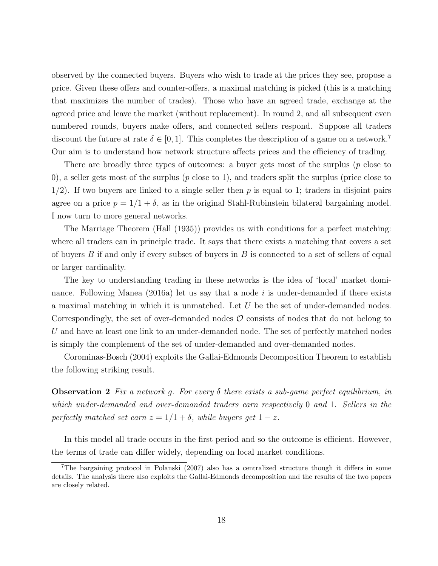observed by the connected buyers. Buyers who wish to trade at the prices they see, propose a price. Given these offers and counter-offers, a maximal matching is picked (this is a matching that maximizes the number of trades). Those who have an agreed trade, exchange at the agreed price and leave the market (without replacement). In round 2, and all subsequent even numbered rounds, buyers make offers, and connected sellers respond. Suppose all traders discount the future at rate  $\delta \in [0, 1]$ . This completes the description of a game on a network.<sup>7</sup> Our aim is to understand how network structure affects prices and the efficiency of trading.

There are broadly three types of outcomes: a buyer gets most of the surplus (p close to 0), a seller gets most of the surplus  $(p \text{ close to } 1)$ , and traders split the surplus (price close to  $1/2$ ). If two buyers are linked to a single seller then p is equal to 1; traders in disjoint pairs agree on a price  $p = 1/1 + \delta$ , as in the original Stahl-Rubinstein bilateral bargaining model. I now turn to more general networks.

The Marriage Theorem (Hall (1935)) provides us with conditions for a perfect matching: where all traders can in principle trade. It says that there exists a matching that covers a set of buyers  $B$  if and only if every subset of buyers in  $B$  is connected to a set of sellers of equal or larger cardinality.

The key to understanding trading in these networks is the idea of 'local' market dominance. Following Manea  $(2016a)$  let us say that a node i is under-demanded if there exists a maximal matching in which it is unmatched. Let U be the set of under-demanded nodes. Correspondingly, the set of over-demanded nodes  $\mathcal O$  consists of nodes that do not belong to U and have at least one link to an under-demanded node. The set of perfectly matched nodes is simply the complement of the set of under-demanded and over-demanded nodes.

Corominas-Bosch (2004) exploits the Gallai-Edmonds Decomposition Theorem to establish the following striking result.

**Observation 2** Fix a network g. For every  $\delta$  there exists a sub-game perfect equilibrium, in which under-demanded and over-demanded traders earn respectively 0 and 1. Sellers in the perfectly matched set earn  $z = 1/1 + \delta$ , while buyers get  $1 - z$ .

In this model all trade occurs in the first period and so the outcome is efficient. However, the terms of trade can differ widely, depending on local market conditions.

<sup>7</sup>The bargaining protocol in Polanski (2007) also has a centralized structure though it differs in some details. The analysis there also exploits the Gallai-Edmonds decomposition and the results of the two papers are closely related.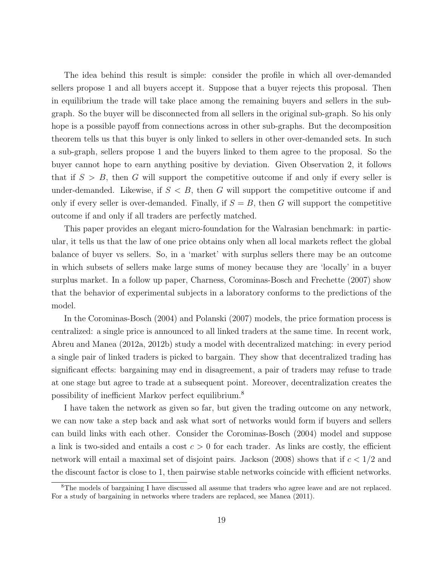The idea behind this result is simple: consider the profile in which all over-demanded sellers propose 1 and all buyers accept it. Suppose that a buyer rejects this proposal. Then in equilibrium the trade will take place among the remaining buyers and sellers in the subgraph. So the buyer will be disconnected from all sellers in the original sub-graph. So his only hope is a possible payoff from connections across in other sub-graphs. But the decomposition theorem tells us that this buyer is only linked to sellers in other over-demanded sets. In such a sub-graph, sellers propose 1 and the buyers linked to them agree to the proposal. So the buyer cannot hope to earn anything positive by deviation. Given Observation 2, it follows that if  $S > B$ , then G will support the competitive outcome if and only if every seller is under-demanded. Likewise, if  $S < B$ , then G will support the competitive outcome if and only if every seller is over-demanded. Finally, if  $S = B$ , then G will support the competitive outcome if and only if all traders are perfectly matched.

This paper provides an elegant micro-foundation for the Walrasian benchmark: in particular, it tells us that the law of one price obtains only when all local markets reflect the global balance of buyer vs sellers. So, in a 'market' with surplus sellers there may be an outcome in which subsets of sellers make large sums of money because they are 'locally' in a buyer surplus market. In a follow up paper, Charness, Corominas-Bosch and Frechette (2007) show that the behavior of experimental subjects in a laboratory conforms to the predictions of the model.

In the Corominas-Bosch (2004) and Polanski (2007) models, the price formation process is centralized: a single price is announced to all linked traders at the same time. In recent work, Abreu and Manea (2012a, 2012b) study a model with decentralized matching: in every period a single pair of linked traders is picked to bargain. They show that decentralized trading has significant effects: bargaining may end in disagreement, a pair of traders may refuse to trade at one stage but agree to trade at a subsequent point. Moreover, decentralization creates the possibility of inefficient Markov perfect equilibrium.<sup>8</sup>

I have taken the network as given so far, but given the trading outcome on any network, we can now take a step back and ask what sort of networks would form if buyers and sellers can build links with each other. Consider the Corominas-Bosch (2004) model and suppose a link is two-sided and entails a cost  $c > 0$  for each trader. As links are costly, the efficient network will entail a maximal set of disjoint pairs. Jackson (2008) shows that if  $c < 1/2$  and the discount factor is close to 1, then pairwise stable networks coincide with efficient networks.

<sup>&</sup>lt;sup>8</sup>The models of bargaining I have discussed all assume that traders who agree leave and are not replaced. For a study of bargaining in networks where traders are replaced, see Manea (2011).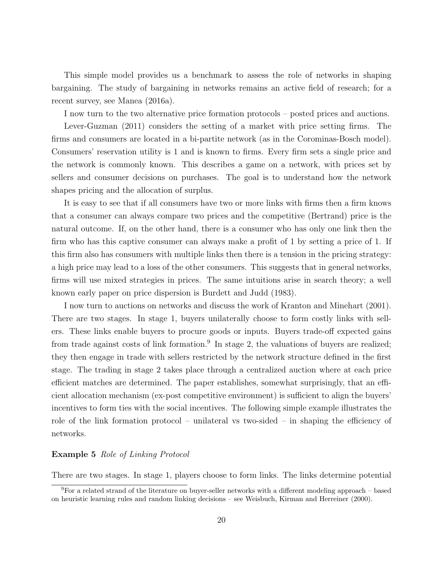This simple model provides us a benchmark to assess the role of networks in shaping bargaining. The study of bargaining in networks remains an active field of research; for a recent survey, see Manea (2016a).

I now turn to the two alternative price formation protocols – posted prices and auctions.

Lever-Guzman (2011) considers the setting of a market with price setting firms. The firms and consumers are located in a bi-partite network (as in the Corominas-Bosch model). Consumers' reservation utility is 1 and is known to firms. Every firm sets a single price and the network is commonly known. This describes a game on a network, with prices set by sellers and consumer decisions on purchases. The goal is to understand how the network shapes pricing and the allocation of surplus.

It is easy to see that if all consumers have two or more links with firms then a firm knows that a consumer can always compare two prices and the competitive (Bertrand) price is the natural outcome. If, on the other hand, there is a consumer who has only one link then the firm who has this captive consumer can always make a profit of 1 by setting a price of 1. If this firm also has consumers with multiple links then there is a tension in the pricing strategy: a high price may lead to a loss of the other consumers. This suggests that in general networks, firms will use mixed strategies in prices. The same intuitions arise in search theory; a well known early paper on price dispersion is Burdett and Judd (1983).

I now turn to auctions on networks and discuss the work of Kranton and Minehart (2001). There are two stages. In stage 1, buyers unilaterally choose to form costly links with sellers. These links enable buyers to procure goods or inputs. Buyers trade-off expected gains from trade against costs of link formation.<sup>9</sup> In stage 2, the valuations of buyers are realized; they then engage in trade with sellers restricted by the network structure defined in the first stage. The trading in stage 2 takes place through a centralized auction where at each price efficient matches are determined. The paper establishes, somewhat surprisingly, that an efficient allocation mechanism (ex-post competitive environment) is sufficient to align the buyers' incentives to form ties with the social incentives. The following simple example illustrates the role of the link formation protocol – unilateral vs two-sided – in shaping the efficiency of networks.

#### Example 5 Role of Linking Protocol

There are two stages. In stage 1, players choose to form links. The links determine potential

 ${}^{9}$ For a related strand of the literature on buyer-seller networks with a different modeling approach – based on heuristic learning rules and random linking decisions – see Weisbuch, Kirman and Herreiner (2000).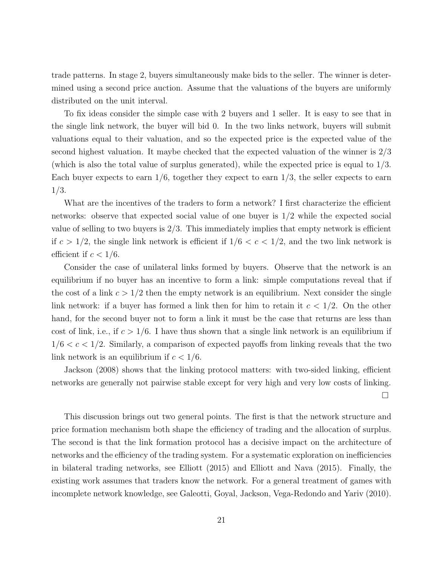trade patterns. In stage 2, buyers simultaneously make bids to the seller. The winner is determined using a second price auction. Assume that the valuations of the buyers are uniformly distributed on the unit interval.

To fix ideas consider the simple case with 2 buyers and 1 seller. It is easy to see that in the single link network, the buyer will bid 0. In the two links network, buyers will submit valuations equal to their valuation, and so the expected price is the expected value of the second highest valuation. It maybe checked that the expected valuation of the winner is 2/3 (which is also the total value of surplus generated), while the expected price is equal to 1/3. Each buyer expects to earn  $1/6$ , together they expect to earn  $1/3$ , the seller expects to earn 1/3.

What are the incentives of the traders to form a network? I first characterize the efficient networks: observe that expected social value of one buyer is 1/2 while the expected social value of selling to two buyers is  $2/3$ . This immediately implies that empty network is efficient if  $c > 1/2$ , the single link network is efficient if  $1/6 < c < 1/2$ , and the two link network is efficient if  $c < 1/6$ .

Consider the case of unilateral links formed by buyers. Observe that the network is an equilibrium if no buyer has an incentive to form a link: simple computations reveal that if the cost of a link  $c > 1/2$  then the empty network is an equilibrium. Next consider the single link network: if a buyer has formed a link then for him to retain it  $c < 1/2$ . On the other hand, for the second buyer not to form a link it must be the case that returns are less than cost of link, i.e., if  $c > 1/6$ . I have thus shown that a single link network is an equilibrium if  $1/6 < c < 1/2$ . Similarly, a comparison of expected payoffs from linking reveals that the two link network is an equilibrium if  $c < 1/6$ .

Jackson (2008) shows that the linking protocol matters: with two-sided linking, efficient networks are generally not pairwise stable except for very high and very low costs of linking.

 $\Box$ 

This discussion brings out two general points. The first is that the network structure and price formation mechanism both shape the efficiency of trading and the allocation of surplus. The second is that the link formation protocol has a decisive impact on the architecture of networks and the efficiency of the trading system. For a systematic exploration on inefficiencies in bilateral trading networks, see Elliott (2015) and Elliott and Nava (2015). Finally, the existing work assumes that traders know the network. For a general treatment of games with incomplete network knowledge, see Galeotti, Goyal, Jackson, Vega-Redondo and Yariv (2010).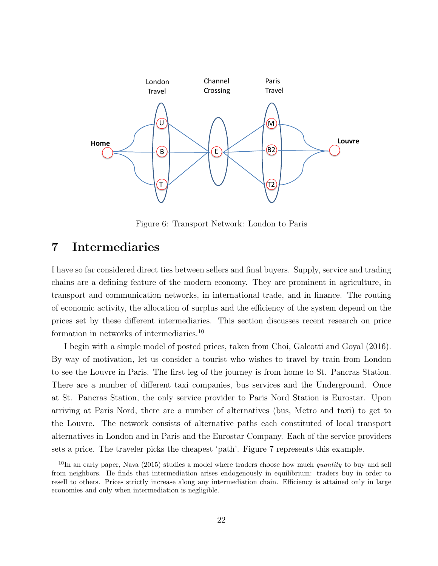

Figure 6: Transport Network: London to Paris

## 7 Intermediaries

I have so far considered direct ties between sellers and final buyers. Supply, service and trading chains are a defining feature of the modern economy. They are prominent in agriculture, in transport and communication networks, in international trade, and in finance. The routing of economic activity, the allocation of surplus and the efficiency of the system depend on the prices set by these different intermediaries. This section discusses recent research on price formation in networks of intermediaries.<sup>10</sup>

I begin with a simple model of posted prices, taken from Choi, Galeotti and Goyal (2016). By way of motivation, let us consider a tourist who wishes to travel by train from London to see the Louvre in Paris. The first leg of the journey is from home to St. Pancras Station. There are a number of different taxi companies, bus services and the Underground. Once at St. Pancras Station, the only service provider to Paris Nord Station is Eurostar. Upon arriving at Paris Nord, there are a number of alternatives (bus, Metro and taxi) to get to the Louvre. The network consists of alternative paths each constituted of local transport alternatives in London and in Paris and the Eurostar Company. Each of the service providers sets a price. The traveler picks the cheapest 'path'. Figure 7 represents this example.

 $10$ In an early paper, Nava (2015) studies a model where traders choose how much quantity to buy and sell from neighbors. He finds that intermediation arises endogenously in equilibrium: traders buy in order to resell to others. Prices strictly increase along any intermediation chain. Efficiency is attained only in large economies and only when intermediation is negligible.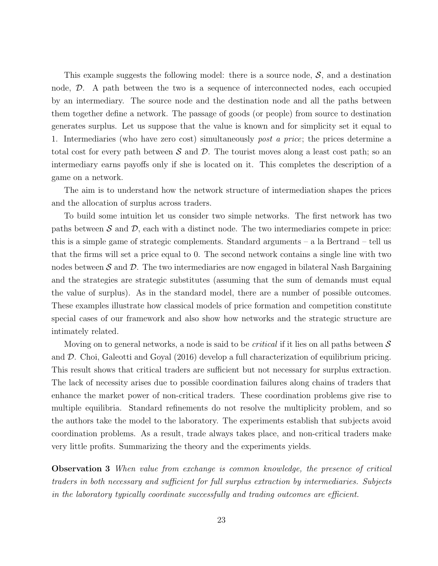This example suggests the following model: there is a source node,  $S$ , and a destination node, D. A path between the two is a sequence of interconnected nodes, each occupied by an intermediary. The source node and the destination node and all the paths between them together define a network. The passage of goods (or people) from source to destination generates surplus. Let us suppose that the value is known and for simplicity set it equal to 1. Intermediaries (who have zero cost) simultaneously post a price; the prices determine a total cost for every path between  $S$  and  $D$ . The tourist moves along a least cost path; so an intermediary earns payoffs only if she is located on it. This completes the description of a game on a network.

The aim is to understand how the network structure of intermediation shapes the prices and the allocation of surplus across traders.

To build some intuition let us consider two simple networks. The first network has two paths between  $S$  and  $D$ , each with a distinct node. The two intermediaries compete in price: this is a simple game of strategic complements. Standard arguments – a la Bertrand – tell us that the firms will set a price equal to 0. The second network contains a single line with two nodes between  $\mathcal S$  and  $\mathcal D$ . The two intermediaries are now engaged in bilateral Nash Bargaining and the strategies are strategic substitutes (assuming that the sum of demands must equal the value of surplus). As in the standard model, there are a number of possible outcomes. These examples illustrate how classical models of price formation and competition constitute special cases of our framework and also show how networks and the strategic structure are intimately related.

Moving on to general networks, a node is said to be *critical* if it lies on all paths between  $S$ and D. Choi, Galeotti and Goyal (2016) develop a full characterization of equilibrium pricing. This result shows that critical traders are sufficient but not necessary for surplus extraction. The lack of necessity arises due to possible coordination failures along chains of traders that enhance the market power of non-critical traders. These coordination problems give rise to multiple equilibria. Standard refinements do not resolve the multiplicity problem, and so the authors take the model to the laboratory. The experiments establish that subjects avoid coordination problems. As a result, trade always takes place, and non-critical traders make very little profits. Summarizing the theory and the experiments yields.

**Observation 3** When value from exchange is common knowledge, the presence of critical traders in both necessary and sufficient for full surplus extraction by intermediaries. Subjects in the laboratory typically coordinate successfully and trading outcomes are efficient.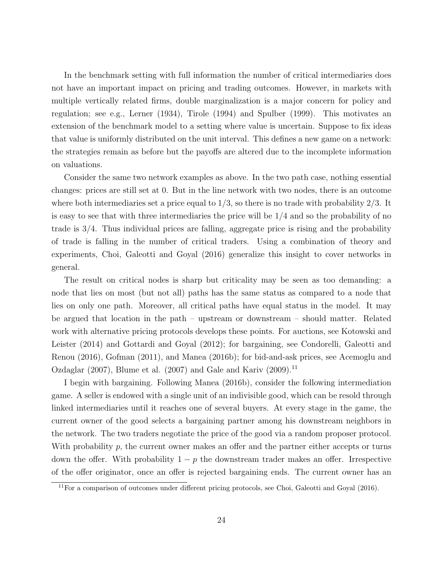In the benchmark setting with full information the number of critical intermediaries does not have an important impact on pricing and trading outcomes. However, in markets with multiple vertically related firms, double marginalization is a major concern for policy and regulation; see e.g., Lerner (1934), Tirole (1994) and Spulber (1999). This motivates an extension of the benchmark model to a setting where value is uncertain. Suppose to fix ideas that value is uniformly distributed on the unit interval. This defines a new game on a network: the strategies remain as before but the payoffs are altered due to the incomplete information on valuations.

Consider the same two network examples as above. In the two path case, nothing essential changes: prices are still set at 0. But in the line network with two nodes, there is an outcome where both intermediaries set a price equal to  $1/3$ , so there is no trade with probability  $2/3$ . It is easy to see that with three intermediaries the price will be  $1/4$  and so the probability of no trade is 3/4. Thus individual prices are falling, aggregate price is rising and the probability of trade is falling in the number of critical traders. Using a combination of theory and experiments, Choi, Galeotti and Goyal (2016) generalize this insight to cover networks in general.

The result on critical nodes is sharp but criticality may be seen as too demanding: a node that lies on most (but not all) paths has the same status as compared to a node that lies on only one path. Moreover, all critical paths have equal status in the model. It may be argued that location in the path – upstream or downstream – should matter. Related work with alternative pricing protocols develops these points. For auctions, see Kotowski and Leister (2014) and Gottardi and Goyal (2012); for bargaining, see Condorelli, Galeotti and Renou (2016), Gofman (2011), and Manea (2016b); for bid-and-ask prices, see Acemoglu and Ozdaglar (2007), Blume et al. (2007) and Gale and Kariv (2009).<sup>11</sup>

I begin with bargaining. Following Manea (2016b), consider the following intermediation game. A seller is endowed with a single unit of an indivisible good, which can be resold through linked intermediaries until it reaches one of several buyers. At every stage in the game, the current owner of the good selects a bargaining partner among his downstream neighbors in the network. The two traders negotiate the price of the good via a random proposer protocol. With probability  $p$ , the current owner makes an offer and the partner either accepts or turns down the offer. With probability  $1 - p$  the downstream trader makes an offer. Irrespective of the offer originator, once an offer is rejected bargaining ends. The current owner has an

 $11$  For a comparison of outcomes under different pricing protocols, see Choi, Galeotti and Goyal (2016).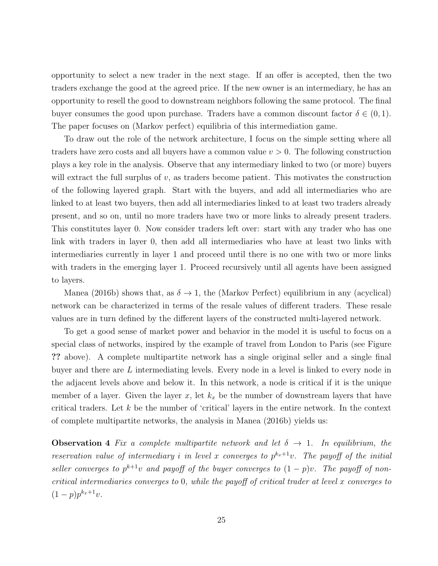opportunity to select a new trader in the next stage. If an offer is accepted, then the two traders exchange the good at the agreed price. If the new owner is an intermediary, he has an opportunity to resell the good to downstream neighbors following the same protocol. The final buyer consumes the good upon purchase. Traders have a common discount factor  $\delta \in (0,1)$ . The paper focuses on (Markov perfect) equilibria of this intermediation game.

To draw out the role of the network architecture, I focus on the simple setting where all traders have zero costs and all buyers have a common value  $v > 0$ . The following construction plays a key role in the analysis. Observe that any intermediary linked to two (or more) buyers will extract the full surplus of  $v$ , as traders become patient. This motivates the construction of the following layered graph. Start with the buyers, and add all intermediaries who are linked to at least two buyers, then add all intermediaries linked to at least two traders already present, and so on, until no more traders have two or more links to already present traders. This constitutes layer 0. Now consider traders left over: start with any trader who has one link with traders in layer 0, then add all intermediaries who have at least two links with intermediaries currently in layer 1 and proceed until there is no one with two or more links with traders in the emerging layer 1. Proceed recursively until all agents have been assigned to layers.

Manea (2016b) shows that, as  $\delta \to 1$ , the (Markov Perfect) equilibrium in any (acyclical) network can be characterized in terms of the resale values of different traders. These resale values are in turn defined by the different layers of the constructed multi-layered network.

To get a good sense of market power and behavior in the model it is useful to focus on a special class of networks, inspired by the example of travel from London to Paris (see Figure ?? above). A complete multipartite network has a single original seller and a single final buyer and there are L intermediating levels. Every node in a level is linked to every node in the adjacent levels above and below it. In this network, a node is critical if it is the unique member of a layer. Given the layer x, let  $k_x$  be the number of downstream layers that have critical traders. Let  $k$  be the number of 'critical' layers in the entire network. In the context of complete multipartite networks, the analysis in Manea (2016b) yields us:

**Observation 4** Fix a complete multipartite network and let  $\delta \rightarrow 1$ . In equilibrium, the reservation value of intermediary i in level x converges to  $p^{k_x+1}v$ . The payoff of the initial seller converges to  $p^{k+1}v$  and payoff of the buyer converges to  $(1-p)v$ . The payoff of noncritical intermediaries converges to 0, while the payoff of critical trader at level x converges to  $(1-p)p^{k_x+1}v.$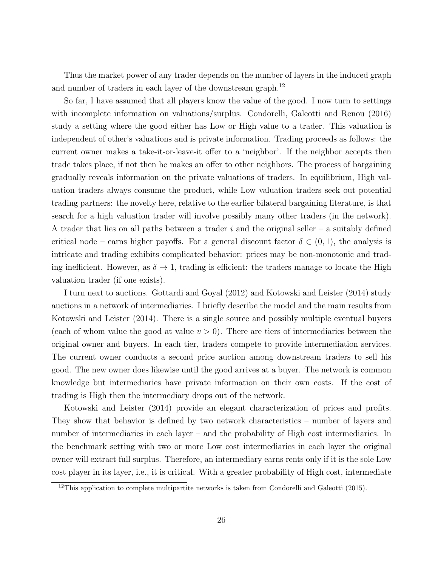Thus the market power of any trader depends on the number of layers in the induced graph and number of traders in each layer of the downstream graph.<sup>12</sup>

So far, I have assumed that all players know the value of the good. I now turn to settings with incomplete information on valuations/surplus. Condorelli, Galeotti and Renou (2016) study a setting where the good either has Low or High value to a trader. This valuation is independent of other's valuations and is private information. Trading proceeds as follows: the current owner makes a take-it-or-leave-it offer to a 'neighbor'. If the neighbor accepts then trade takes place, if not then he makes an offer to other neighbors. The process of bargaining gradually reveals information on the private valuations of traders. In equilibrium, High valuation traders always consume the product, while Low valuation traders seek out potential trading partners: the novelty here, relative to the earlier bilateral bargaining literature, is that search for a high valuation trader will involve possibly many other traders (in the network). A trader that lies on all paths between a trader  $i$  and the original seller – a suitably defined critical node – earns higher payoffs. For a general discount factor  $\delta \in (0,1)$ , the analysis is intricate and trading exhibits complicated behavior: prices may be non-monotonic and trading inefficient. However, as  $\delta \to 1$ , trading is efficient: the traders manage to locate the High valuation trader (if one exists).

I turn next to auctions. Gottardi and Goyal (2012) and Kotowski and Leister (2014) study auctions in a network of intermediaries. I briefly describe the model and the main results from Kotowski and Leister (2014). There is a single source and possibly multiple eventual buyers (each of whom value the good at value  $v > 0$ ). There are tiers of intermediaries between the original owner and buyers. In each tier, traders compete to provide intermediation services. The current owner conducts a second price auction among downstream traders to sell his good. The new owner does likewise until the good arrives at a buyer. The network is common knowledge but intermediaries have private information on their own costs. If the cost of trading is High then the intermediary drops out of the network.

Kotowski and Leister (2014) provide an elegant characterization of prices and profits. They show that behavior is defined by two network characteristics – number of layers and number of intermediaries in each layer – and the probability of High cost intermediaries. In the benchmark setting with two or more Low cost intermediaries in each layer the original owner will extract full surplus. Therefore, an intermediary earns rents only if it is the sole Low cost player in its layer, i.e., it is critical. With a greater probability of High cost, intermediate

<sup>&</sup>lt;sup>12</sup>This application to complete multipartite networks is taken from Condorelli and Galeotti (2015).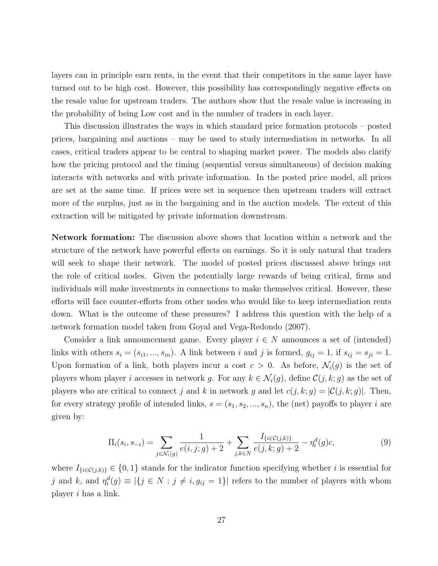layers can in principle earn rents, in the event that their competitors in the same layer have turned out to be high cost. However, this possibility has correspondingly negative effects on the resale value for upstream traders. The authors show that the resale value is increasing in the probability of being Low cost and in the number of traders in each layer.

This discussion illustrates the ways in which standard price formation protocols – posted prices, bargaining and auctions – may be used to study intermediation in networks. In all cases, critical traders appear to be central to shaping market power. The models also clarify how the pricing protocol and the timing (sequential versus simultaneous) of decision making interacts with networks and with private information. In the posted price model, all prices are set at the same time. If prices were set in sequence then upstream traders will extract more of the surplus, just as in the bargaining and in the auction models. The extent of this extraction will be mitigated by private information downstream.

Network formation: The discussion above shows that location within a network and the structure of the network have powerful effects on earnings. So it is only natural that traders will seek to shape their network. The model of posted prices discussed above brings out the role of critical nodes. Given the potentially large rewards of being critical, firms and individuals will make investments in connections to make themselves critical. However, these efforts will face counter-efforts from other nodes who would like to keep intermediation rents down. What is the outcome of these pressures? I address this question with the help of a network formation model taken from Goyal and Vega-Redondo (2007).

Consider a link announcement game. Every player  $i \in N$  announces a set of (intended) links with others  $s_i = (s_{i1}, ..., s_{in})$ . A link between i and j is formed,  $g_{ij} = 1$ , if  $s_{ij} = s_{ji} = 1$ . Upon formation of a link, both players incur a cost  $c > 0$ . As before,  $\mathcal{N}_i(g)$  is the set of players whom player i accesses in network g. For any  $k \in \mathcal{N}_i(g)$ , define  $\mathcal{C}(j, k; g)$  as the set of players who are critical to connect j and k in network g and let  $c(j, k; g) = |\mathcal{C}(j, k; g)|$ . Then, for every strategy profile of intended links,  $s = (s_1, s_2, ..., s_n)$ , the (net) payoffs to player i are given by:

$$
\Pi_i(s_i, s_{-i}) = \sum_{j \in \mathcal{N}_i(g)} \frac{1}{e(i, j; g) + 2} + \sum_{j, k \in \mathbb{N}} \frac{I_{\{i \in \mathcal{C}(j, k)\}}}{e(j, k; g) + 2} - \eta_i^d(g)c,
$$
\n(9)

where  $I_{\{i \in \mathcal{C}(j,k)\}} \in \{0,1\}$  stands for the indicator function specifying whether i is essential for j and k, and  $\eta_i^d(g) \equiv |\{j \in N : j \neq i, g_{ij} = 1\}|$  refers to the number of players with whom player i has a link.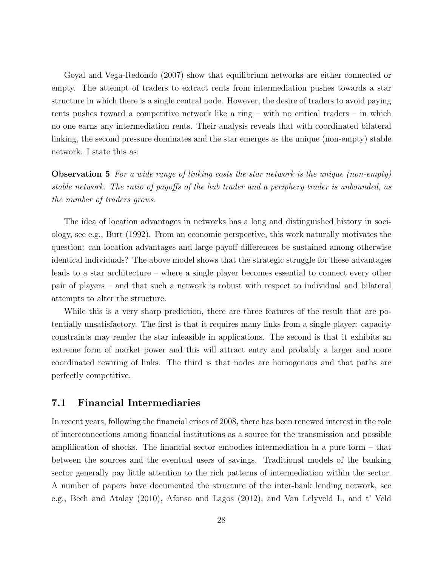Goyal and Vega-Redondo (2007) show that equilibrium networks are either connected or empty. The attempt of traders to extract rents from intermediation pushes towards a star structure in which there is a single central node. However, the desire of traders to avoid paying rents pushes toward a competitive network like a ring – with no critical traders – in which no one earns any intermediation rents. Their analysis reveals that with coordinated bilateral linking, the second pressure dominates and the star emerges as the unique (non-empty) stable network. I state this as:

Observation 5 For a wide range of linking costs the star network is the unique (non-empty) stable network. The ratio of payoffs of the hub trader and a periphery trader is unbounded, as the number of traders grows.

The idea of location advantages in networks has a long and distinguished history in sociology, see e.g., Burt (1992). From an economic perspective, this work naturally motivates the question: can location advantages and large payoff differences be sustained among otherwise identical individuals? The above model shows that the strategic struggle for these advantages leads to a star architecture – where a single player becomes essential to connect every other pair of players – and that such a network is robust with respect to individual and bilateral attempts to alter the structure.

While this is a very sharp prediction, there are three features of the result that are potentially unsatisfactory. The first is that it requires many links from a single player: capacity constraints may render the star infeasible in applications. The second is that it exhibits an extreme form of market power and this will attract entry and probably a larger and more coordinated rewiring of links. The third is that nodes are homogenous and that paths are perfectly competitive.

#### 7.1 Financial Intermediaries

In recent years, following the financial crises of 2008, there has been renewed interest in the role of interconnections among financial institutions as a source for the transmission and possible amplification of shocks. The financial sector embodies intermediation in a pure form – that between the sources and the eventual users of savings. Traditional models of the banking sector generally pay little attention to the rich patterns of intermediation within the sector. A number of papers have documented the structure of the inter-bank lending network, see e.g., Bech and Atalay (2010), Afonso and Lagos (2012), and Van Lelyveld I., and t' Veld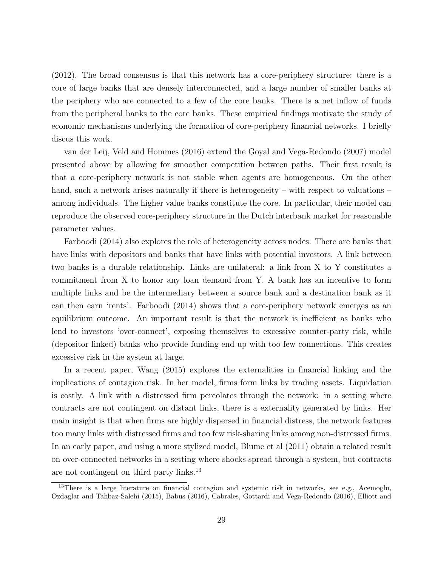(2012). The broad consensus is that this network has a core-periphery structure: there is a core of large banks that are densely interconnected, and a large number of smaller banks at the periphery who are connected to a few of the core banks. There is a net inflow of funds from the peripheral banks to the core banks. These empirical findings motivate the study of economic mechanisms underlying the formation of core-periphery financial networks. I briefly discus this work.

van der Leij, Veld and Hommes (2016) extend the Goyal and Vega-Redondo (2007) model presented above by allowing for smoother competition between paths. Their first result is that a core-periphery network is not stable when agents are homogeneous. On the other hand, such a network arises naturally if there is heterogeneity – with respect to valuations – among individuals. The higher value banks constitute the core. In particular, their model can reproduce the observed core-periphery structure in the Dutch interbank market for reasonable parameter values.

Farboodi (2014) also explores the role of heterogeneity across nodes. There are banks that have links with depositors and banks that have links with potential investors. A link between two banks is a durable relationship. Links are unilateral: a link from X to Y constitutes a commitment from X to honor any loan demand from Y. A bank has an incentive to form multiple links and be the intermediary between a source bank and a destination bank as it can then earn 'rents'. Farboodi (2014) shows that a core-periphery network emerges as an equilibrium outcome. An important result is that the network is inefficient as banks who lend to investors 'over-connect', exposing themselves to excessive counter-party risk, while (depositor linked) banks who provide funding end up with too few connections. This creates excessive risk in the system at large.

In a recent paper, Wang (2015) explores the externalities in financial linking and the implications of contagion risk. In her model, firms form links by trading assets. Liquidation is costly. A link with a distressed firm percolates through the network: in a setting where contracts are not contingent on distant links, there is a externality generated by links. Her main insight is that when firms are highly dispersed in financial distress, the network features too many links with distressed firms and too few risk-sharing links among non-distressed firms. In an early paper, and using a more stylized model, Blume et al (2011) obtain a related result on over-connected networks in a setting where shocks spread through a system, but contracts are not contingent on third party links.<sup>13</sup>

<sup>&</sup>lt;sup>13</sup>There is a large literature on financial contagion and systemic risk in networks, see e.g., Acemoglu, Ozdaglar and Tahbaz-Salehi (2015), Babus (2016), Cabrales, Gottardi and Vega-Redondo (2016), Elliott and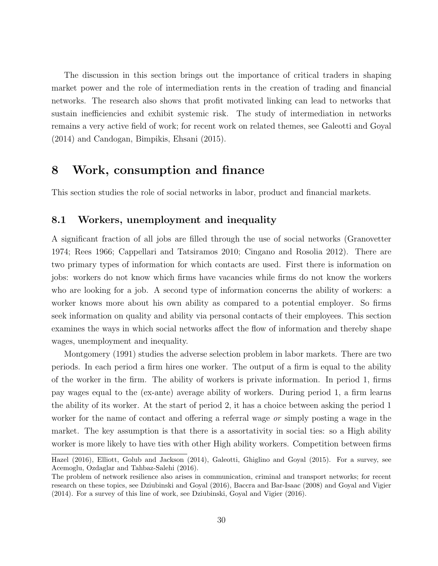The discussion in this section brings out the importance of critical traders in shaping market power and the role of intermediation rents in the creation of trading and financial networks. The research also shows that profit motivated linking can lead to networks that sustain inefficiencies and exhibit systemic risk. The study of intermediation in networks remains a very active field of work; for recent work on related themes, see Galeotti and Goyal (2014) and Candogan, Bimpikis, Ehsani (2015).

### 8 Work, consumption and finance

This section studies the role of social networks in labor, product and financial markets.

#### 8.1 Workers, unemployment and inequality

A significant fraction of all jobs are filled through the use of social networks (Granovetter 1974; Rees 1966; Cappellari and Tatsiramos 2010; Cingano and Rosolia 2012). There are two primary types of information for which contacts are used. First there is information on jobs: workers do not know which firms have vacancies while firms do not know the workers who are looking for a job. A second type of information concerns the ability of workers: a worker knows more about his own ability as compared to a potential employer. So firms seek information on quality and ability via personal contacts of their employees. This section examines the ways in which social networks affect the flow of information and thereby shape wages, unemployment and inequality.

Montgomery (1991) studies the adverse selection problem in labor markets. There are two periods. In each period a firm hires one worker. The output of a firm is equal to the ability of the worker in the firm. The ability of workers is private information. In period 1, firms pay wages equal to the (ex-ante) average ability of workers. During period 1, a firm learns the ability of its worker. At the start of period 2, it has a choice between asking the period 1 worker for the name of contact and offering a referral wage or simply posting a wage in the market. The key assumption is that there is a assortativity in social ties: so a High ability worker is more likely to have ties with other High ability workers. Competition between firms

Hazel (2016), Elliott, Golub and Jackson (2014), Galeotti, Ghiglino and Goyal (2015). For a survey, see Acemoglu, Ozdaglar and Tahbaz-Salehi (2016).

The problem of network resilience also arises in communication, criminal and transport networks; for recent research on these topics, see Dziubinski and Goyal (2016), Baccra and Bar-Isaac (2008) and Goyal and Vigier (2014). For a survey of this line of work, see Dziubinski, Goyal and Vigier (2016).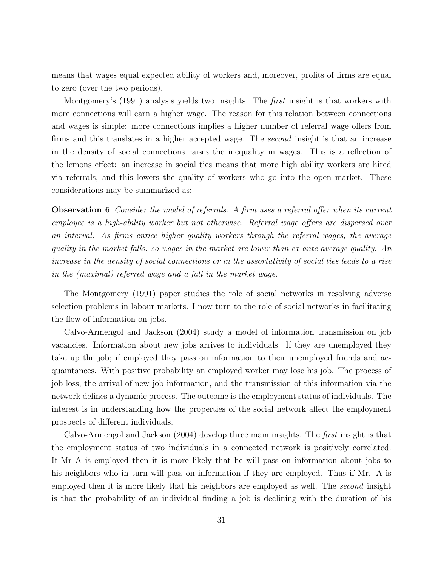means that wages equal expected ability of workers and, moreover, profits of firms are equal to zero (over the two periods).

Montgomery's (1991) analysis yields two insights. The *first* insight is that workers with more connections will earn a higher wage. The reason for this relation between connections and wages is simple: more connections implies a higher number of referral wage offers from firms and this translates in a higher accepted wage. The second insight is that an increase in the density of social connections raises the inequality in wages. This is a reflection of the lemons effect: an increase in social ties means that more high ability workers are hired via referrals, and this lowers the quality of workers who go into the open market. These considerations may be summarized as:

**Observation 6** Consider the model of referrals. A firm uses a referral offer when its current employee is a high-ability worker but not otherwise. Referral wage offers are dispersed over an interval. As firms entice higher quality workers through the referral wages, the average quality in the market falls: so wages in the market are lower than ex-ante average quality. An increase in the density of social connections or in the assortativity of social ties leads to a rise in the (maximal) referred wage and a fall in the market wage.

The Montgomery (1991) paper studies the role of social networks in resolving adverse selection problems in labour markets. I now turn to the role of social networks in facilitating the flow of information on jobs.

Calvo-Armengol and Jackson (2004) study a model of information transmission on job vacancies. Information about new jobs arrives to individuals. If they are unemployed they take up the job; if employed they pass on information to their unemployed friends and acquaintances. With positive probability an employed worker may lose his job. The process of job loss, the arrival of new job information, and the transmission of this information via the network defines a dynamic process. The outcome is the employment status of individuals. The interest is in understanding how the properties of the social network affect the employment prospects of different individuals.

Calvo-Armengol and Jackson (2004) develop three main insights. The *first* insight is that the employment status of two individuals in a connected network is positively correlated. If Mr A is employed then it is more likely that he will pass on information about jobs to his neighbors who in turn will pass on information if they are employed. Thus if Mr. A is employed then it is more likely that his neighbors are employed as well. The *second* insight is that the probability of an individual finding a job is declining with the duration of his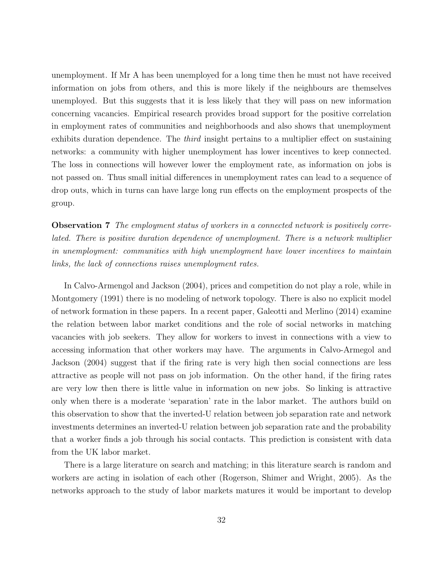unemployment. If Mr A has been unemployed for a long time then he must not have received information on jobs from others, and this is more likely if the neighbours are themselves unemployed. But this suggests that it is less likely that they will pass on new information concerning vacancies. Empirical research provides broad support for the positive correlation in employment rates of communities and neighborhoods and also shows that unemployment exhibits duration dependence. The *third* insight pertains to a multiplier effect on sustaining networks: a community with higher unemployment has lower incentives to keep connected. The loss in connections will however lower the employment rate, as information on jobs is not passed on. Thus small initial differences in unemployment rates can lead to a sequence of drop outs, which in turns can have large long run effects on the employment prospects of the group.

Observation 7 The employment status of workers in a connected network is positively correlated. There is positive duration dependence of unemployment. There is a network multiplier in unemployment: communities with high unemployment have lower incentives to maintain links, the lack of connections raises unemployment rates.

In Calvo-Armengol and Jackson (2004), prices and competition do not play a role, while in Montgomery (1991) there is no modeling of network topology. There is also no explicit model of network formation in these papers. In a recent paper, Galeotti and Merlino (2014) examine the relation between labor market conditions and the role of social networks in matching vacancies with job seekers. They allow for workers to invest in connections with a view to accessing information that other workers may have. The arguments in Calvo-Armegol and Jackson (2004) suggest that if the firing rate is very high then social connections are less attractive as people will not pass on job information. On the other hand, if the firing rates are very low then there is little value in information on new jobs. So linking is attractive only when there is a moderate 'separation' rate in the labor market. The authors build on this observation to show that the inverted-U relation between job separation rate and network investments determines an inverted-U relation between job separation rate and the probability that a worker finds a job through his social contacts. This prediction is consistent with data from the UK labor market.

There is a large literature on search and matching; in this literature search is random and workers are acting in isolation of each other (Rogerson, Shimer and Wright, 2005). As the networks approach to the study of labor markets matures it would be important to develop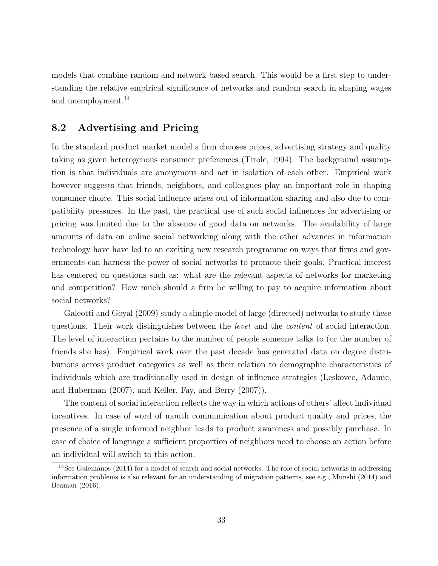models that combine random and network based search. This would be a first step to understanding the relative empirical significance of networks and random search in shaping wages and unemployment.<sup>14</sup>

#### 8.2 Advertising and Pricing

In the standard product market model a firm chooses prices, advertising strategy and quality taking as given heterogenous consumer preferences (Tirole, 1994). The background assumption is that individuals are anonymous and act in isolation of each other. Empirical work however suggests that friends, neighbors, and colleagues play an important role in shaping consumer choice. This social influence arises out of information sharing and also due to compatibility pressures. In the past, the practical use of such social influences for advertising or pricing was limited due to the absence of good data on networks. The availability of large amounts of data on online social networking along with the other advances in information technology have have led to an exciting new research programme on ways that firms and governments can harness the power of social networks to promote their goals. Practical interest has centered on questions such as: what are the relevant aspects of networks for marketing and competition? How much should a firm be willing to pay to acquire information about social networks?

Galeotti and Goyal (2009) study a simple model of large (directed) networks to study these questions. Their work distinguishes between the level and the content of social interaction. The level of interaction pertains to the number of people someone talks to (or the number of friends she has). Empirical work over the past decade has generated data on degree distributions across product categories as well as their relation to demographic characteristics of individuals which are traditionally used in design of influence strategies (Leskovec, Adamic, and Huberman (2007), and Keller, Fay, and Berry (2007)).

The content of social interaction reflects the way in which actions of others' affect individual incentives. In case of word of mouth communication about product quality and prices, the presence of a single informed neighbor leads to product awareness and possibly purchase. In case of choice of language a sufficient proportion of neighbors need to choose an action before an individual will switch to this action.

 $14$ See Galenianos (2014) for a model of search and social networks. The role of social networks in addressing information problems is also relevant for an understanding of migration patterns, see e.g., Munshi (2014) and Beaman (2016).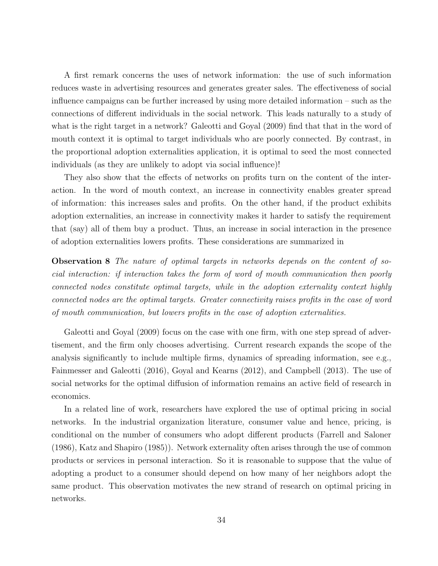A first remark concerns the uses of network information: the use of such information reduces waste in advertising resources and generates greater sales. The effectiveness of social influence campaigns can be further increased by using more detailed information – such as the connections of different individuals in the social network. This leads naturally to a study of what is the right target in a network? Galeotti and Goyal (2009) find that that in the word of mouth context it is optimal to target individuals who are poorly connected. By contrast, in the proportional adoption externalities application, it is optimal to seed the most connected individuals (as they are unlikely to adopt via social influence)!

They also show that the effects of networks on profits turn on the content of the interaction. In the word of mouth context, an increase in connectivity enables greater spread of information: this increases sales and profits. On the other hand, if the product exhibits adoption externalities, an increase in connectivity makes it harder to satisfy the requirement that (say) all of them buy a product. Thus, an increase in social interaction in the presence of adoption externalities lowers profits. These considerations are summarized in

Observation 8 The nature of optimal targets in networks depends on the content of social interaction: if interaction takes the form of word of mouth communication then poorly connected nodes constitute optimal targets, while in the adoption externality context highly connected nodes are the optimal targets. Greater connectivity raises profits in the case of word of mouth communication, but lowers profits in the case of adoption externalities.

Galeotti and Goyal (2009) focus on the case with one firm, with one step spread of advertisement, and the firm only chooses advertising. Current research expands the scope of the analysis significantly to include multiple firms, dynamics of spreading information, see e.g., Fainmesser and Galeotti (2016), Goyal and Kearns (2012), and Campbell (2013). The use of social networks for the optimal diffusion of information remains an active field of research in economics.

In a related line of work, researchers have explored the use of optimal pricing in social networks. In the industrial organization literature, consumer value and hence, pricing, is conditional on the number of consumers who adopt different products (Farrell and Saloner (1986), Katz and Shapiro (1985)). Network externality often arises through the use of common products or services in personal interaction. So it is reasonable to suppose that the value of adopting a product to a consumer should depend on how many of her neighbors adopt the same product. This observation motivates the new strand of research on optimal pricing in networks.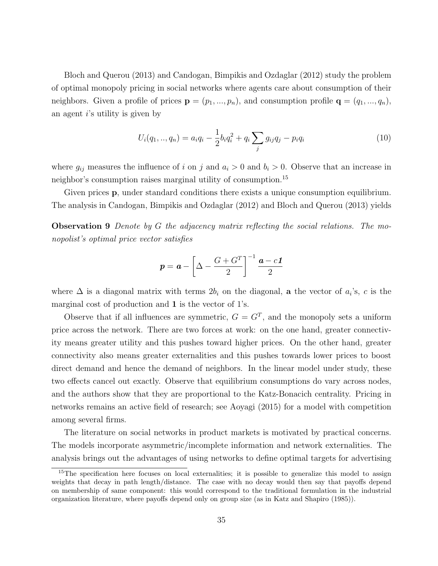Bloch and Querou (2013) and Candogan, Bimpikis and Ozdaglar (2012) study the problem of optimal monopoly pricing in social networks where agents care about consumption of their neighbors. Given a profile of prices  $\mathbf{p} = (p_1, ..., p_n)$ , and consumption profile  $\mathbf{q} = (q_1, ..., q_n)$ , an agent  $i$ 's utility is given by

$$
U_i(q_1,..,q_n) = a_i q_i - \frac{1}{2} b_i q_i^2 + q_i \sum_j g_{ij} q_j - p_i q_i \tag{10}
$$

where  $g_{ij}$  measures the influence of i on j and  $a_i > 0$  and  $b_i > 0$ . Observe that an increase in neighbor's consumption raises marginal utility of consumption.<sup>15</sup>

Given prices **p**, under standard conditions there exists a unique consumption equilibrium. The analysis in Candogan, Bimpikis and Ozdaglar (2012) and Bloch and Querou (2013) yields

Observation 9 Denote by G the adjacency matrix reflecting the social relations. The monopolist's optimal price vector satisfies

$$
\boldsymbol{p} = \boldsymbol{a} - \left[\Delta - \frac{G + G^{T}}{2}\right]^{-1} \frac{\boldsymbol{a} - c\boldsymbol{1}}{2}
$$

where  $\Delta$  is a diagonal matrix with terms  $2b_i$  on the diagonal, **a** the vector of  $a_i$ 's, c is the marginal cost of production and 1 is the vector of 1's.

Observe that if all influences are symmetric,  $G = G<sup>T</sup>$ , and the monopoly sets a uniform price across the network. There are two forces at work: on the one hand, greater connectivity means greater utility and this pushes toward higher prices. On the other hand, greater connectivity also means greater externalities and this pushes towards lower prices to boost direct demand and hence the demand of neighbors. In the linear model under study, these two effects cancel out exactly. Observe that equilibrium consumptions do vary across nodes, and the authors show that they are proportional to the Katz-Bonacich centrality. Pricing in networks remains an active field of research; see Aoyagi (2015) for a model with competition among several firms.

The literature on social networks in product markets is motivated by practical concerns. The models incorporate asymmetric/incomplete information and network externalities. The analysis brings out the advantages of using networks to define optimal targets for advertising

 $15$ The specification here focuses on local externalities; it is possible to generalize this model to assign weights that decay in path length/distance. The case with no decay would then say that payoffs depend on membership of same component: this would correspond to the traditional formulation in the industrial organization literature, where payoffs depend only on group size (as in Katz and Shapiro (1985)).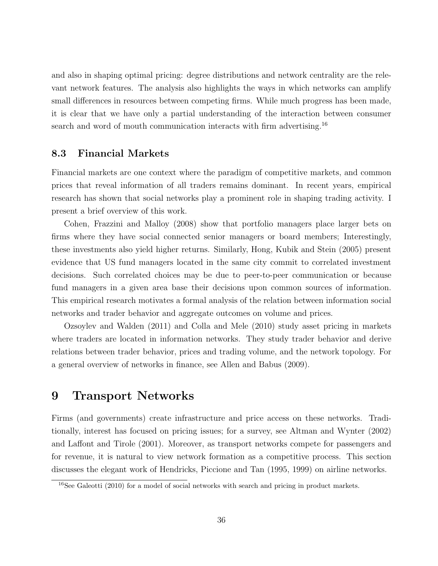and also in shaping optimal pricing: degree distributions and network centrality are the relevant network features. The analysis also highlights the ways in which networks can amplify small differences in resources between competing firms. While much progress has been made, it is clear that we have only a partial understanding of the interaction between consumer search and word of mouth communication interacts with firm advertising.<sup>16</sup>

#### 8.3 Financial Markets

Financial markets are one context where the paradigm of competitive markets, and common prices that reveal information of all traders remains dominant. In recent years, empirical research has shown that social networks play a prominent role in shaping trading activity. I present a brief overview of this work.

Cohen, Frazzini and Malloy (2008) show that portfolio managers place larger bets on firms where they have social connected senior managers or board members; Interestingly, these investments also yield higher returns. Similarly, Hong, Kubik and Stein (2005) present evidence that US fund managers located in the same city commit to correlated investment decisions. Such correlated choices may be due to peer-to-peer communication or because fund managers in a given area base their decisions upon common sources of information. This empirical research motivates a formal analysis of the relation between information social networks and trader behavior and aggregate outcomes on volume and prices.

Ozsoylev and Walden (2011) and Colla and Mele (2010) study asset pricing in markets where traders are located in information networks. They study trader behavior and derive relations between trader behavior, prices and trading volume, and the network topology. For a general overview of networks in finance, see Allen and Babus (2009).

## 9 Transport Networks

Firms (and governments) create infrastructure and price access on these networks. Traditionally, interest has focused on pricing issues; for a survey, see Altman and Wynter (2002) and Laffont and Tirole (2001). Moreover, as transport networks compete for passengers and for revenue, it is natural to view network formation as a competitive process. This section discusses the elegant work of Hendricks, Piccione and Tan (1995, 1999) on airline networks.

 $16$ See Galeotti (2010) for a model of social networks with search and pricing in product markets.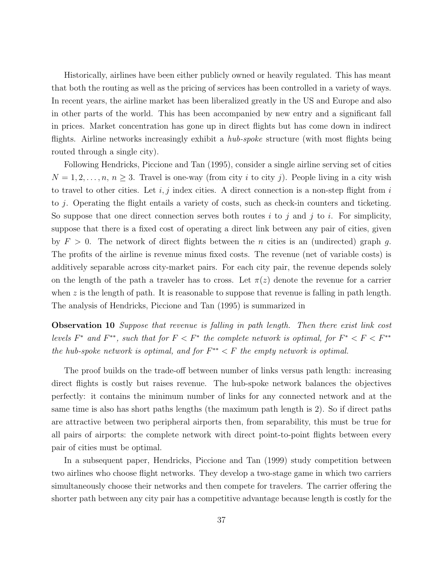Historically, airlines have been either publicly owned or heavily regulated. This has meant that both the routing as well as the pricing of services has been controlled in a variety of ways. In recent years, the airline market has been liberalized greatly in the US and Europe and also in other parts of the world. This has been accompanied by new entry and a significant fall in prices. Market concentration has gone up in direct flights but has come down in indirect flights. Airline networks increasingly exhibit a *hub-spoke* structure (with most flights being routed through a single city).

Following Hendricks, Piccione and Tan (1995), consider a single airline serving set of cities  $N = 1, 2, \ldots, n, n \geq 3$ . Travel is one-way (from city i to city j). People living in a city wish to travel to other cities. Let  $i, j$  index cities. A direct connection is a non-step flight from  $i$ to j. Operating the flight entails a variety of costs, such as check-in counters and ticketing. So suppose that one direct connection serves both routes i to j and j to i. For simplicity, suppose that there is a fixed cost of operating a direct link between any pair of cities, given by  $F > 0$ . The network of direct flights between the *n* cities is an (undirected) graph g. The profits of the airline is revenue minus fixed costs. The revenue (net of variable costs) is additively separable across city-market pairs. For each city pair, the revenue depends solely on the length of the path a traveler has to cross. Let  $\pi(z)$  denote the revenue for a carrier when  $z$  is the length of path. It is reasonable to suppose that revenue is falling in path length. The analysis of Hendricks, Piccione and Tan (1995) is summarized in

Observation 10 Suppose that revenue is falling in path length. Then there exist link cost levels  $F^*$  and  $F^{**}$ , such that for  $F < F^*$  the complete network is optimal, for  $F^* < F < F^{**}$ the hub-spoke network is optimal, and for  $F^{**} < F$  the empty network is optimal.

The proof builds on the trade-off between number of links versus path length: increasing direct flights is costly but raises revenue. The hub-spoke network balances the objectives perfectly: it contains the minimum number of links for any connected network and at the same time is also has short paths lengths (the maximum path length is 2). So if direct paths are attractive between two peripheral airports then, from separability, this must be true for all pairs of airports: the complete network with direct point-to-point flights between every pair of cities must be optimal.

In a subsequent paper, Hendricks, Piccione and Tan (1999) study competition between two airlines who choose flight networks. They develop a two-stage game in which two carriers simultaneously choose their networks and then compete for travelers. The carrier offering the shorter path between any city pair has a competitive advantage because length is costly for the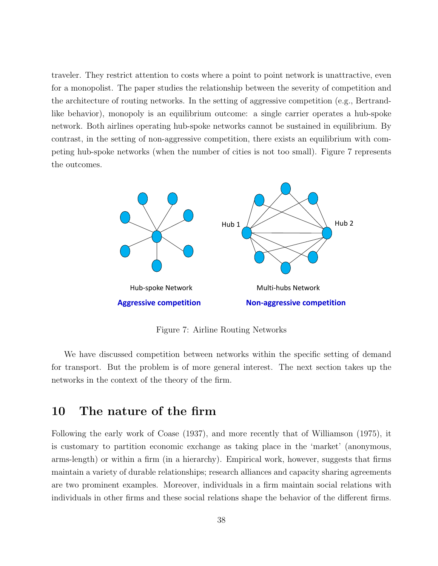traveler. They restrict attention to costs where a point to point network is unattractive, even for a monopolist. The paper studies the relationship between the severity of competition and the architecture of routing networks. In the setting of aggressive competition (e.g., Bertrandlike behavior), monopoly is an equilibrium outcome: a single carrier operates a hub-spoke network. Both airlines operating hub-spoke networks cannot be sustained in equilibrium. By contrast, in the setting of non-aggressive competition, there exists an equilibrium with competing hub-spoke networks (when the number of cities is not too small). Figure 7 represents the outcomes.



Figure 7: Airline Routing Networks

We have discussed competition between networks within the specific setting of demand for transport. But the problem is of more general interest. The next section takes up the networks in the context of the theory of the firm.

## 10 The nature of the firm

Following the early work of Coase (1937), and more recently that of Williamson (1975), it is customary to partition economic exchange as taking place in the 'market' (anonymous, arms-length) or within a firm (in a hierarchy). Empirical work, however, suggests that firms maintain a variety of durable relationships; research alliances and capacity sharing agreements are two prominent examples. Moreover, individuals in a firm maintain social relations with individuals in other firms and these social relations shape the behavior of the different firms.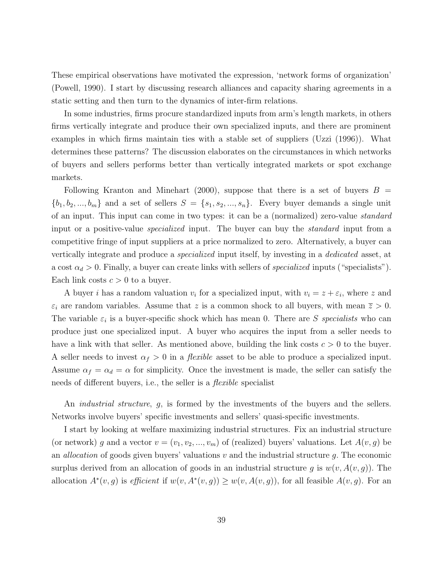These empirical observations have motivated the expression, 'network forms of organization' (Powell, 1990). I start by discussing research alliances and capacity sharing agreements in a static setting and then turn to the dynamics of inter-firm relations.

In some industries, firms procure standardized inputs from arm's length markets, in others firms vertically integrate and produce their own specialized inputs, and there are prominent examples in which firms maintain ties with a stable set of suppliers (Uzzi (1996)). What determines these patterns? The discussion elaborates on the circumstances in which networks of buyers and sellers performs better than vertically integrated markets or spot exchange markets.

Following Kranton and Minehart (2000), suppose that there is a set of buyers  $B =$  ${b_1, b_2, ..., b_m}$  and a set of sellers  $S = {s_1, s_2, ..., s_n}$ . Every buyer demands a single unit of an input. This input can come in two types: it can be a (normalized) zero-value standard input or a positive-value specialized input. The buyer can buy the standard input from a competitive fringe of input suppliers at a price normalized to zero. Alternatively, a buyer can vertically integrate and produce a specialized input itself, by investing in a dedicated asset, at a cost  $\alpha_d > 0$ . Finally, a buyer can create links with sellers of *specialized* inputs ("specialists"). Each link costs  $c > 0$  to a buyer.

A buyer *i* has a random valuation  $v_i$  for a specialized input, with  $v_i = z + \varepsilon_i$ , where z and  $\varepsilon_i$  are random variables. Assume that z is a common shock to all buyers, with mean  $\overline{z} > 0$ . The variable  $\varepsilon_i$  is a buyer-specific shock which has mean 0. There are S specialists who can produce just one specialized input. A buyer who acquires the input from a seller needs to have a link with that seller. As mentioned above, building the link costs  $c > 0$  to the buyer. A seller needs to invest  $\alpha_f > 0$  in a *flexible* asset to be able to produce a specialized input. Assume  $\alpha_f = \alpha_d = \alpha$  for simplicity. Once the investment is made, the seller can satisfy the needs of different buyers, i.e., the seller is a *flexible* specialist

An *industrial structure*, g, is formed by the investments of the buyers and the sellers. Networks involve buyers' specific investments and sellers' quasi-specific investments.

I start by looking at welfare maximizing industrial structures. Fix an industrial structure (or network) g and a vector  $v = (v_1, v_2, ..., v_m)$  of (realized) buyers' valuations. Let  $A(v, g)$  be an *allocation* of goods given buyers' valuations  $v$  and the industrial structure  $g$ . The economic surplus derived from an allocation of goods in an industrial structure g is  $w(v, A(v, g))$ . The allocation  $A^*(v, g)$  is efficient if  $w(v, A^*(v, g)) \geq w(v, A(v, g))$ , for all feasible  $A(v, g)$ . For an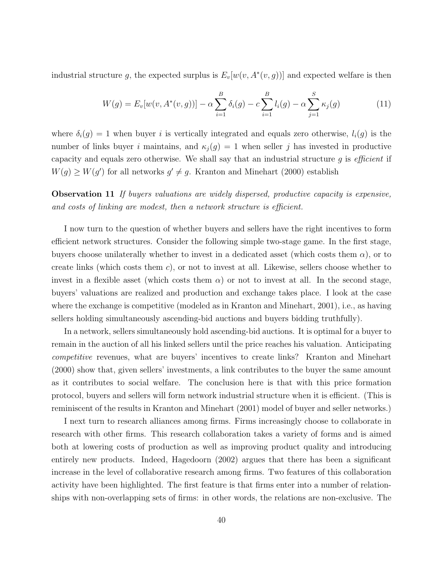industrial structure g, the expected surplus is  $E_v[w(v, A^*(v, g))]$  and expected welfare is then

$$
W(g) = E_v[w(v, A^*(v, g))] - \alpha \sum_{i=1}^{B} \delta_i(g) - c \sum_{i=1}^{B} l_i(g) - \alpha \sum_{j=1}^{S} \kappa_j(g)
$$
(11)

where  $\delta_i(g) = 1$  when buyer i is vertically integrated and equals zero otherwise,  $l_i(g)$  is the number of links buyer i maintains, and  $\kappa_j(g) = 1$  when seller j has invested in productive capacity and equals zero otherwise. We shall say that an industrial structure  $g$  is *efficient* if  $W(g) \geq W(g')$  for all networks  $g' \neq g$ . Kranton and Minehart (2000) establish

Observation 11 If buyers valuations are widely dispersed, productive capacity is expensive, and costs of linking are modest, then a network structure is efficient.

I now turn to the question of whether buyers and sellers have the right incentives to form efficient network structures. Consider the following simple two-stage game. In the first stage, buyers choose unilaterally whether to invest in a dedicated asset (which costs them  $\alpha$ ), or to create links (which costs them  $c$ ), or not to invest at all. Likewise, sellers choose whether to invest in a flexible asset (which costs them  $\alpha$ ) or not to invest at all. In the second stage, buyers' valuations are realized and production and exchange takes place. I look at the case where the exchange is competitive (modeled as in Kranton and Minehart, 2001), i.e., as having sellers holding simultaneously ascending-bid auctions and buyers bidding truthfully).

In a network, sellers simultaneously hold ascending-bid auctions. It is optimal for a buyer to remain in the auction of all his linked sellers until the price reaches his valuation. Anticipating competitive revenues, what are buyers' incentives to create links? Kranton and Minehart (2000) show that, given sellers' investments, a link contributes to the buyer the same amount as it contributes to social welfare. The conclusion here is that with this price formation protocol, buyers and sellers will form network industrial structure when it is efficient. (This is reminiscent of the results in Kranton and Minehart (2001) model of buyer and seller networks.)

I next turn to research alliances among firms. Firms increasingly choose to collaborate in research with other firms. This research collaboration takes a variety of forms and is aimed both at lowering costs of production as well as improving product quality and introducing entirely new products. Indeed, Hagedoorn (2002) argues that there has been a significant increase in the level of collaborative research among firms. Two features of this collaboration activity have been highlighted. The first feature is that firms enter into a number of relationships with non-overlapping sets of firms: in other words, the relations are non-exclusive. The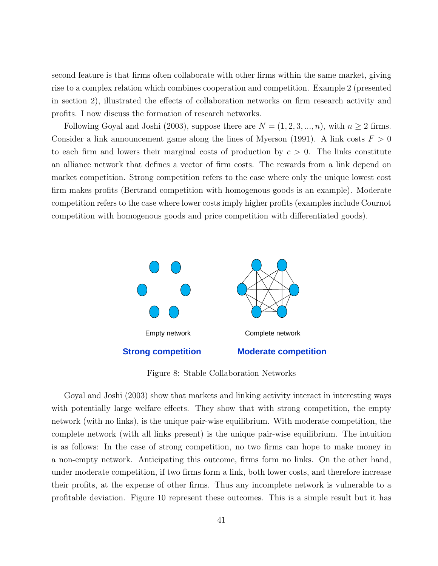second feature is that firms often collaborate with other firms within the same market, giving rise to a complex relation which combines cooperation and competition. Example 2 (presented in section 2), illustrated the effects of collaboration networks on firm research activity and profits. I now discuss the formation of research networks.

Following Goyal and Joshi (2003), suppose there are  $N = (1, 2, 3, ..., n)$ , with  $n \ge 2$  firms. Consider a link announcement game along the lines of Myerson (1991). A link costs  $F > 0$ to each firm and lowers their marginal costs of production by  $c > 0$ . The links constitute an alliance network that defines a vector of firm costs. The rewards from a link depend on market competition. Strong competition refers to the case where only the unique lowest cost firm makes profits (Bertrand competition with homogenous goods is an example). Moderate competition refers to the case where lower costs imply higher profits (examples include Cournot competition with homogenous goods and price competition with differentiated goods).



Figure 8: Stable Collaboration Networks

Goyal and Joshi (2003) show that markets and linking activity interact in interesting ways with potentially large welfare effects. They show that with strong competition, the empty network (with no links), is the unique pair-wise equilibrium. With moderate competition, the complete network (with all links present) is the unique pair-wise equilibrium. The intuition is as follows: In the case of strong competition, no two firms can hope to make money in a non-empty network. Anticipating this outcome, firms form no links. On the other hand, under moderate competition, if two firms form a link, both lower costs, and therefore increase their profits, at the expense of other firms. Thus any incomplete network is vulnerable to a profitable deviation. Figure 10 represent these outcomes. This is a simple result but it has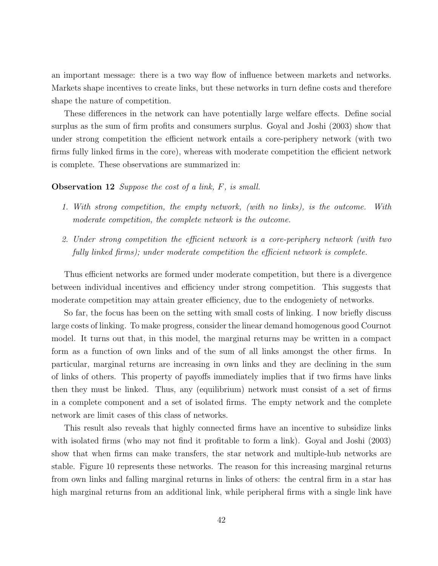an important message: there is a two way flow of influence between markets and networks. Markets shape incentives to create links, but these networks in turn define costs and therefore shape the nature of competition.

These differences in the network can have potentially large welfare effects. Define social surplus as the sum of firm profits and consumers surplus. Goyal and Joshi (2003) show that under strong competition the efficient network entails a core-periphery network (with two firms fully linked firms in the core), whereas with moderate competition the efficient network is complete. These observations are summarized in:

#### **Observation 12** Suppose the cost of a link,  $F$ , is small.

- 1. With strong competition, the empty network, (with no links), is the outcome. With moderate competition, the complete network is the outcome.
- 2. Under strong competition the efficient network is a core-periphery network (with two fully linked firms); under moderate competition the efficient network is complete.

Thus efficient networks are formed under moderate competition, but there is a divergence between individual incentives and efficiency under strong competition. This suggests that moderate competition may attain greater efficiency, due to the endogeniety of networks.

So far, the focus has been on the setting with small costs of linking. I now briefly discuss large costs of linking. To make progress, consider the linear demand homogenous good Cournot model. It turns out that, in this model, the marginal returns may be written in a compact form as a function of own links and of the sum of all links amongst the other firms. In particular, marginal returns are increasing in own links and they are declining in the sum of links of others. This property of payoffs immediately implies that if two firms have links then they must be linked. Thus, any (equilibrium) network must consist of a set of firms in a complete component and a set of isolated firms. The empty network and the complete network are limit cases of this class of networks.

This result also reveals that highly connected firms have an incentive to subsidize links with isolated firms (who may not find it profitable to form a link). Goyal and Joshi (2003) show that when firms can make transfers, the star network and multiple-hub networks are stable. Figure 10 represents these networks. The reason for this increasing marginal returns from own links and falling marginal returns in links of others: the central firm in a star has high marginal returns from an additional link, while peripheral firms with a single link have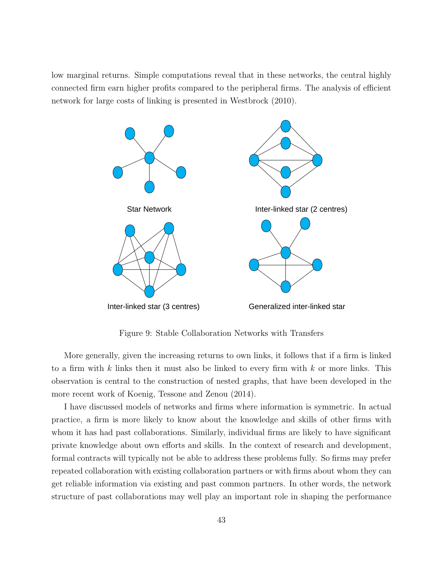low marginal returns. Simple computations reveal that in these networks, the central highly connected firm earn higher profits compared to the peripheral firms. The analysis of efficient network for large costs of linking is presented in Westbrock (2010).



Figure 9: Stable Collaboration Networks with Transfers

More generally, given the increasing returns to own links, it follows that if a firm is linked to a firm with k links then it must also be linked to every firm with  $k$  or more links. This observation is central to the construction of nested graphs, that have been developed in the more recent work of Koenig, Tessone and Zenou (2014).

I have discussed models of networks and firms where information is symmetric. In actual practice, a firm is more likely to know about the knowledge and skills of other firms with whom it has had past collaborations. Similarly, individual firms are likely to have significant private knowledge about own efforts and skills. In the context of research and development, formal contracts will typically not be able to address these problems fully. So firms may prefer repeated collaboration with existing collaboration partners or with firms about whom they can get reliable information via existing and past common partners. In other words, the network structure of past collaborations may well play an important role in shaping the performance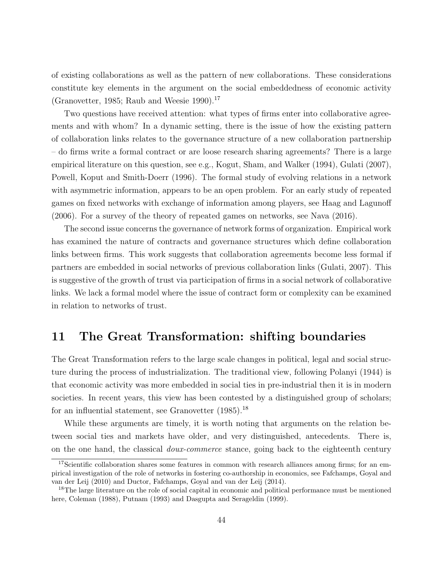of existing collaborations as well as the pattern of new collaborations. These considerations constitute key elements in the argument on the social embeddedness of economic activity (Granovetter, 1985; Raub and Weesie 1990).<sup>17</sup>

Two questions have received attention: what types of firms enter into collaborative agreements and with whom? In a dynamic setting, there is the issue of how the existing pattern of collaboration links relates to the governance structure of a new collaboration partnership – do firms write a formal contract or are loose research sharing agreements? There is a large empirical literature on this question, see e.g., Kogut, Sham, and Walker (1994), Gulati (2007), Powell, Koput and Smith-Doerr (1996). The formal study of evolving relations in a network with asymmetric information, appears to be an open problem. For an early study of repeated games on fixed networks with exchange of information among players, see Haag and Lagunoff (2006). For a survey of the theory of repeated games on networks, see Nava (2016).

The second issue concerns the governance of network forms of organization. Empirical work has examined the nature of contracts and governance structures which define collaboration links between firms. This work suggests that collaboration agreements become less formal if partners are embedded in social networks of previous collaboration links (Gulati, 2007). This is suggestive of the growth of trust via participation of firms in a social network of collaborative links. We lack a formal model where the issue of contract form or complexity can be examined in relation to networks of trust.

## 11 The Great Transformation: shifting boundaries

The Great Transformation refers to the large scale changes in political, legal and social structure during the process of industrialization. The traditional view, following Polanyi (1944) is that economic activity was more embedded in social ties in pre-industrial then it is in modern societies. In recent years, this view has been contested by a distinguished group of scholars; for an influential statement, see Granovetter  $(1985)$ .<sup>18</sup>

While these arguments are timely, it is worth noting that arguments on the relation between social ties and markets have older, and very distinguished, antecedents. There is, on the one hand, the classical doux-commerce stance, going back to the eighteenth century

<sup>&</sup>lt;sup>17</sup>Scientific collaboration shares some features in common with research alliances among firms; for an empirical investigation of the role of networks in fostering co-authorship in economics, see Fafchamps, Goyal and van der Leij (2010) and Ductor, Fafchamps, Goyal and van der Leij (2014).

<sup>&</sup>lt;sup>18</sup>The large literature on the role of social capital in economic and political performance must be mentioned here, Coleman (1988), Putnam (1993) and Dasgupta and Serageldin (1999).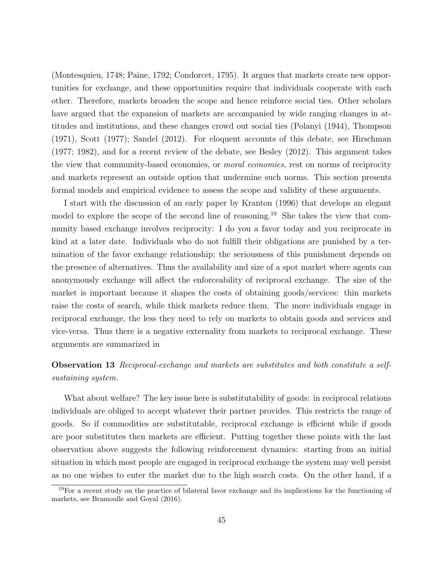(Montesquieu, 1748; Paine, 1792; Condorcet, 1795). It argues that markets create new opportunities for exchange, and these opportunities require that individuals cooperate with each other. Therefore, markets broaden the scope and hence reinforce social ties. Other scholars have argued that the expansion of markets are accompanied by wide ranging changes in attitudes and institutions, and these changes crowd out social ties (Polanyi (1944), Thompson (1971), Scott (1977); Sandel (2012). For eloquent accounts of this debate, see Hirschman (1977; 1982), and for a recent review of the debate, see Besley (2012). This argument takes the view that community-based economies, or moral economies, rest on norms of reciprocity and markets represent an outside option that undermine such norms. This section presents formal models and empirical evidence to assess the scope and validity of these arguments.

I start with the discussion of an early paper by Kranton (1996) that develops an elegant model to explore the scope of the second line of reasoning.<sup>19</sup> She takes the view that community based exchange involves reciprocity: I do you a favor today and you reciprocate in kind at a later date. Individuals who do not fulfill their obligations are punished by a termination of the favor exchange relationship; the seriousness of this punishment depends on the presence of alternatives. Thus the availability and size of a spot market where agents can anonymously exchange will affect the enforceability of reciprocal exchange. The size of the market is important because it shapes the costs of obtaining goods/services: thin markets raise the costs of search, while thick markets reduce them. The more individuals engage in reciprocal exchange, the less they need to rely on markets to obtain goods and services and vice-versa. Thus there is a negative externality from markets to reciprocal exchange. These arguments are summarized in

### Observation 13 Reciprocal-exchange and markets are substitutes and both constitute a selfsustaining system.

What about welfare? The key issue here is substitutability of goods: in reciprocal relations individuals are obliged to accept whatever their partner provides. This restricts the range of goods. So if commodities are substitutable, reciprocal exchange is efficient while if goods are poor substitutes then markets are efficient. Putting together these points with the last observation above suggests the following reinforcement dynamics: starting from an initial situation in which most people are engaged in reciprocal exchange the system may well persist as no one wishes to enter the market due to the high search costs. On the other hand, if a

<sup>19</sup>For a recent study on the practice of bilateral favor exchange and its implications for the functioning of markets, see Bramoulle and Goyal (2016).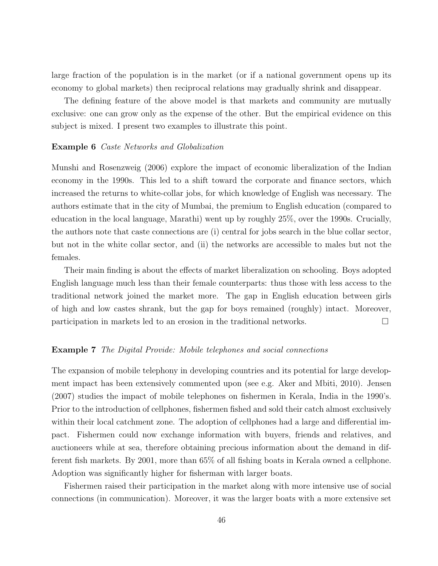large fraction of the population is in the market (or if a national government opens up its economy to global markets) then reciprocal relations may gradually shrink and disappear.

The defining feature of the above model is that markets and community are mutually exclusive: one can grow only as the expense of the other. But the empirical evidence on this subject is mixed. I present two examples to illustrate this point.

#### Example 6 Caste Networks and Globalization

Munshi and Rosenzweig (2006) explore the impact of economic liberalization of the Indian economy in the 1990s. This led to a shift toward the corporate and finance sectors, which increased the returns to white-collar jobs, for which knowledge of English was necessary. The authors estimate that in the city of Mumbai, the premium to English education (compared to education in the local language, Marathi) went up by roughly 25%, over the 1990s. Crucially, the authors note that caste connections are (i) central for jobs search in the blue collar sector, but not in the white collar sector, and (ii) the networks are accessible to males but not the females.

Their main finding is about the effects of market liberalization on schooling. Boys adopted English language much less than their female counterparts: thus those with less access to the traditional network joined the market more. The gap in English education between girls of high and low castes shrank, but the gap for boys remained (roughly) intact. Moreover, participation in markets led to an erosion in the traditional networks.

#### Example 7 The Digital Provide: Mobile telephones and social connections

The expansion of mobile telephony in developing countries and its potential for large development impact has been extensively commented upon (see e.g. Aker and Mbiti, 2010). Jensen (2007) studies the impact of mobile telephones on fishermen in Kerala, India in the 1990's. Prior to the introduction of cellphones, fishermen fished and sold their catch almost exclusively within their local catchment zone. The adoption of cellphones had a large and differential impact. Fishermen could now exchange information with buyers, friends and relatives, and auctioneers while at sea, therefore obtaining precious information about the demand in different fish markets. By 2001, more than 65% of all fishing boats in Kerala owned a cellphone. Adoption was significantly higher for fisherman with larger boats.

Fishermen raised their participation in the market along with more intensive use of social connections (in communication). Moreover, it was the larger boats with a more extensive set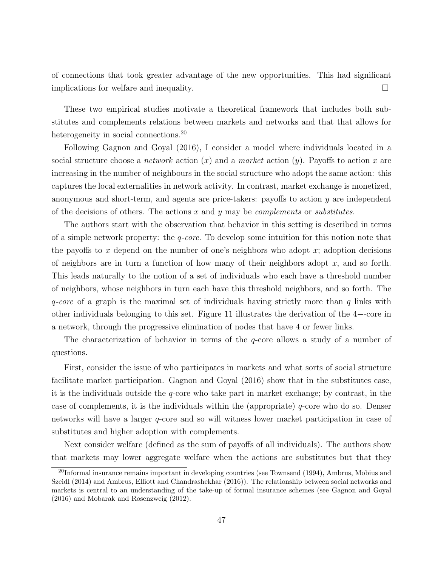of connections that took greater advantage of the new opportunities. This had significant implications for welfare and inequality.  $\Box$ 

These two empirical studies motivate a theoretical framework that includes both substitutes and complements relations between markets and networks and that that allows for heterogeneity in social connections.<sup>20</sup>

Following Gagnon and Goyal (2016), I consider a model where individuals located in a social structure choose a *network* action  $(x)$  and a *market* action  $(y)$ . Payoffs to action x are increasing in the number of neighbours in the social structure who adopt the same action: this captures the local externalities in network activity. In contrast, market exchange is monetized, anonymous and short-term, and agents are price-takers: payoffs to action y are independent of the decisions of others. The actions  $x$  and  $y$  may be *complements* or *substitutes*.

The authors start with the observation that behavior in this setting is described in terms of a simple network property: the  $q\text{-}core$ . To develop some intuition for this notion note that the payoffs to x depend on the number of one's neighbors who adopt  $x$ ; adoption decisions of neighbors are in turn a function of how many of their neighbors adopt  $x$ , and so forth. This leads naturally to the notion of a set of individuals who each have a threshold number of neighbors, whose neighbors in turn each have this threshold neighbors, and so forth. The q-core of a graph is the maximal set of individuals having strictly more than  $q$  links with other individuals belonging to this set. Figure 11 illustrates the derivation of the 4−-core in a network, through the progressive elimination of nodes that have 4 or fewer links.

The characterization of behavior in terms of the q-core allows a study of a number of questions.

First, consider the issue of who participates in markets and what sorts of social structure facilitate market participation. Gagnon and Goyal (2016) show that in the substitutes case, it is the individuals outside the  $q$ -core who take part in market exchange; by contrast, in the case of complements, it is the individuals within the (appropriate) q-core who do so. Denser networks will have a larger q-core and so will witness lower market participation in case of substitutes and higher adoption with complements.

Next consider welfare (defined as the sum of payoffs of all individuals). The authors show that markets may lower aggregate welfare when the actions are substitutes but that they

 $20$ Informal insurance remains important in developing countries (see Townsend (1994), Ambrus, Mobius and Szeidl (2014) and Ambrus, Elliott and Chandrashekhar (2016)). The relationship between social networks and markets is central to an understanding of the take-up of formal insurance schemes (see Gagnon and Goyal (2016) and Mobarak and Rosenzweig (2012).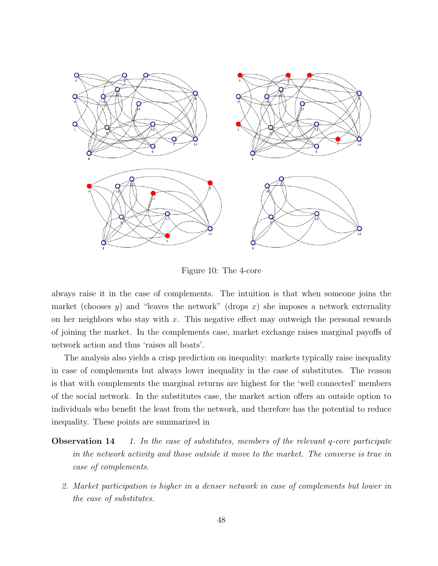

Figure 10: The 4-core

always raise it in the case of complements. The intuition is that when someone joins the market (chooses y) and "leaves the network" (drops x) she imposes a network externality on her neighbors who stay with  $x$ . This negative effect may outweigh the personal rewards of joining the market. In the complements case, market exchange raises marginal payoffs of network action and thus 'raises all boats'.

The analysis also yields a crisp prediction on inequality: markets typically raise inequality in case of complements but always lower inequality in the case of substitutes. The reason is that with complements the marginal returns are highest for the 'well connected' members of the social network. In the substitutes case, the market action offers an outside option to individuals who benefit the least from the network, and therefore has the potential to reduce inequality. These points are summarized in

- **Observation 14** 1. In the case of substitutes, members of the relevant q-core participate in the network activity and those outside it move to the market. The converse is true in case of complements.
	- 2. Market participation is higher in a denser network in case of complements but lower in the case of substitutes.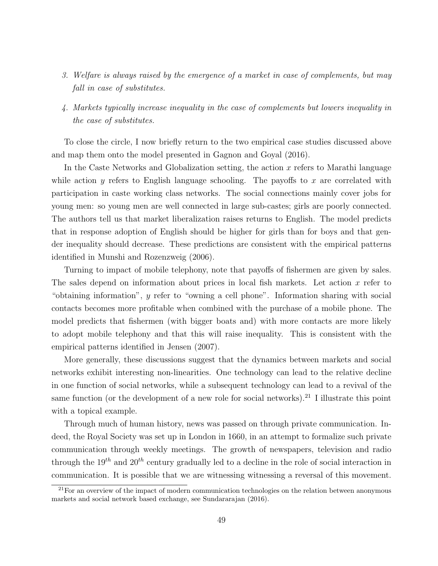- 3. Welfare is always raised by the emergence of a market in case of complements, but may fall in case of substitutes.
- 4. Markets typically increase inequality in the case of complements but lowers inequality in the case of substitutes.

To close the circle, I now briefly return to the two empirical case studies discussed above and map them onto the model presented in Gagnon and Goyal (2016).

In the Caste Networks and Globalization setting, the action x refers to Marathi language while action  $y$  refers to English language schooling. The payoffs to  $x$  are correlated with participation in caste working class networks. The social connections mainly cover jobs for young men: so young men are well connected in large sub-castes; girls are poorly connected. The authors tell us that market liberalization raises returns to English. The model predicts that in response adoption of English should be higher for girls than for boys and that gender inequality should decrease. These predictions are consistent with the empirical patterns identified in Munshi and Rozenzweig (2006).

Turning to impact of mobile telephony, note that payoffs of fishermen are given by sales. The sales depend on information about prices in local fish markets. Let action  $x$  refer to "obtaining information", y refer to "owning a cell phone". Information sharing with social contacts becomes more profitable when combined with the purchase of a mobile phone. The model predicts that fishermen (with bigger boats and) with more contacts are more likely to adopt mobile telephony and that this will raise inequality. This is consistent with the empirical patterns identified in Jensen (2007).

More generally, these discussions suggest that the dynamics between markets and social networks exhibit interesting non-linearities. One technology can lead to the relative decline in one function of social networks, while a subsequent technology can lead to a revival of the same function (or the development of a new role for social networks).<sup>21</sup> I illustrate this point with a topical example.

Through much of human history, news was passed on through private communication. Indeed, the Royal Society was set up in London in 1660, in an attempt to formalize such private communication through weekly meetings. The growth of newspapers, television and radio through the  $19^{th}$  and  $20^{th}$  century gradually led to a decline in the role of social interaction in communication. It is possible that we are witnessing witnessing a reversal of this movement.

<sup>&</sup>lt;sup>21</sup>For an overview of the impact of modern communication technologies on the relation between anonymous markets and social network based exchange, see Sundararajan (2016).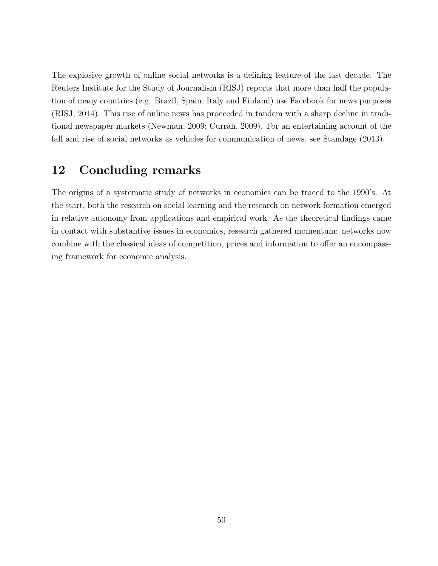The explosive growth of online social networks is a defining feature of the last decade. The Reuters Institute for the Study of Journalism (RISJ) reports that more than half the population of many countries (e.g. Brazil, Spain, Italy and Finland) use Facebook for news purposes (RISJ, 2014). This rise of online news has proceeded in tandem with a sharp decline in traditional newspaper markets (Newman, 2009; Currah, 2009). For an entertaining account of the fall and rise of social networks as vehicles for communication of news, see Standage (2013).

## 12 Concluding remarks

The origins of a systematic study of networks in economics can be traced to the 1990's. At the start, both the research on social learning and the research on network formation emerged in relative autonomy from applications and empirical work. As the theoretical findings came in contact with substantive issues in economics, research gathered momentum: networks now combine with the classical ideas of competition, prices and information to offer an encompassing framework for economic analysis.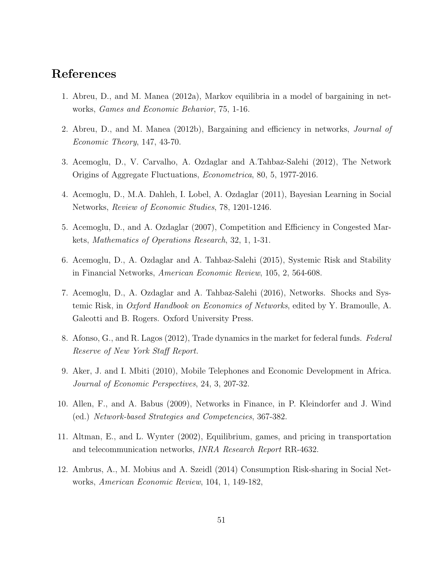## References

- 1. Abreu, D., and M. Manea (2012a), Markov equilibria in a model of bargaining in networks, Games and Economic Behavior, 75, 1-16.
- 2. Abreu, D., and M. Manea (2012b), Bargaining and efficiency in networks, Journal of Economic Theory, 147, 43-70.
- 3. Acemoglu, D., V. Carvalho, A. Ozdaglar and A.Tahbaz-Salehi (2012), The Network Origins of Aggregate Fluctuations, Econometrica, 80, 5, 1977-2016.
- 4. Acemoglu, D., M.A. Dahleh, I. Lobel, A. Ozdaglar (2011), Bayesian Learning in Social Networks, Review of Economic Studies, 78, 1201-1246.
- 5. Acemoglu, D., and A. Ozdaglar (2007), Competition and Efficiency in Congested Markets, Mathematics of Operations Research, 32, 1, 1-31.
- 6. Acemoglu, D., A. Ozdaglar and A. Tahbaz-Salehi (2015), Systemic Risk and Stability in Financial Networks, American Economic Review, 105, 2, 564-608.
- 7. Acemoglu, D., A. Ozdaglar and A. Tahbaz-Salehi (2016), Networks. Shocks and Systemic Risk, in Oxford Handbook on Economics of Networks, edited by Y. Bramoulle, A. Galeotti and B. Rogers. Oxford University Press.
- 8. Afonso, G., and R. Lagos (2012), Trade dynamics in the market for federal funds. Federal Reserve of New York Staff Report.
- 9. Aker, J. and I. Mbiti (2010), Mobile Telephones and Economic Development in Africa. Journal of Economic Perspectives, 24, 3, 207-32.
- 10. Allen, F., and A. Babus (2009), Networks in Finance, in P. Kleindorfer and J. Wind (ed.) Network-based Strategies and Competencies, 367-382.
- 11. Altman, E., and L. Wynter (2002), Equilibrium, games, and pricing in transportation and telecommunication networks, INRA Research Report RR-4632.
- 12. Ambrus, A., M. Mobius and A. Szeidl (2014) Consumption Risk-sharing in Social Networks, American Economic Review, 104, 1, 149-182,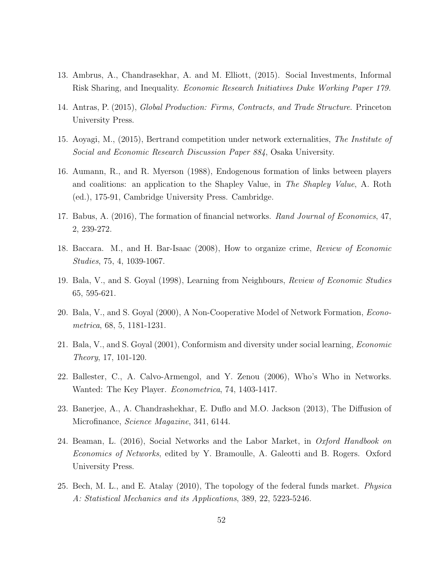- 13. Ambrus, A., Chandrasekhar, A. and M. Elliott, (2015). Social Investments, Informal Risk Sharing, and Inequality. Economic Research Initiatives Duke Working Paper 179.
- 14. Antras, P. (2015), Global Production: Firms, Contracts, and Trade Structure. Princeton University Press.
- 15. Aoyagi, M., (2015), Bertrand competition under network externalities, The Institute of Social and Economic Research Discussion Paper 884, Osaka University.
- 16. Aumann, R., and R. Myerson (1988), Endogenous formation of links between players and coalitions: an application to the Shapley Value, in The Shapley Value, A. Roth (ed.), 175-91, Cambridge University Press. Cambridge.
- 17. Babus, A. (2016), The formation of financial networks. Rand Journal of Economics, 47, 2, 239-272.
- 18. Baccara. M., and H. Bar-Isaac (2008), How to organize crime, Review of Economic Studies, 75, 4, 1039-1067.
- 19. Bala, V., and S. Goyal (1998), Learning from Neighbours, Review of Economic Studies 65, 595-621.
- 20. Bala, V., and S. Goyal (2000), A Non-Cooperative Model of Network Formation, Econometrica, 68, 5, 1181-1231.
- 21. Bala, V., and S. Goyal (2001), Conformism and diversity under social learning, Economic Theory, 17, 101-120.
- 22. Ballester, C., A. Calvo-Armengol, and Y. Zenou (2006), Who's Who in Networks. Wanted: The Key Player. *Econometrica*, 74, 1403-1417.
- 23. Banerjee, A., A. Chandrashekhar, E. Duflo and M.O. Jackson (2013), The Diffusion of Microfinance, Science Magazine, 341, 6144.
- 24. Beaman, L. (2016), Social Networks and the Labor Market, in *Oxford Handbook on* Economics of Networks, edited by Y. Bramoulle, A. Galeotti and B. Rogers. Oxford University Press.
- 25. Bech, M. L., and E. Atalay (2010), The topology of the federal funds market. Physica A: Statistical Mechanics and its Applications, 389, 22, 5223-5246.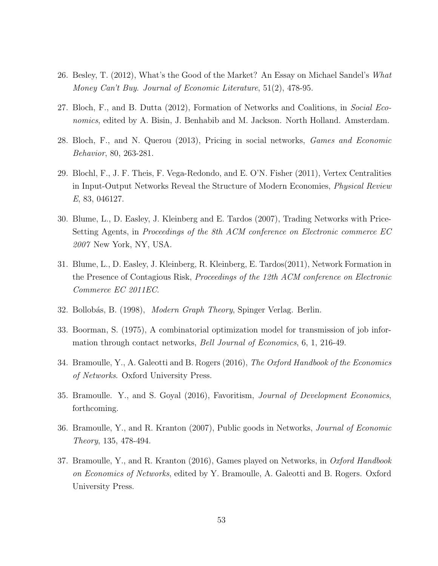- 26. Besley, T. (2012), What's the Good of the Market? An Essay on Michael Sandel's What Money Can't Buy. Journal of Economic Literature, 51(2), 478-95.
- 27. Bloch, F., and B. Dutta (2012), Formation of Networks and Coalitions, in Social Economics, edited by A. Bisin, J. Benhabib and M. Jackson. North Holland. Amsterdam.
- 28. Bloch, F., and N. Querou (2013), Pricing in social networks, Games and Economic Behavior, 80, 263-281.
- 29. Blochl, F., J. F. Theis, F. Vega-Redondo, and E. O'N. Fisher (2011), Vertex Centralities in Input-Output Networks Reveal the Structure of Modern Economies, Physical Review E, 83, 046127.
- 30. Blume, L., D. Easley, J. Kleinberg and E. Tardos (2007), Trading Networks with Price-Setting Agents, in Proceedings of the 8th ACM conference on Electronic commerce EC 2007 New York, NY, USA.
- 31. Blume, L., D. Easley, J. Kleinberg, R. Kleinberg, E. Tardos(2011), Network Formation in the Presence of Contagious Risk, Proceedings of the 12th ACM conference on Electronic Commerce EC 2011EC.
- 32. Bollobás, B. (1998), Modern Graph Theory, Spinger Verlag. Berlin.
- 33. Boorman, S. (1975), A combinatorial optimization model for transmission of job information through contact networks, Bell Journal of Economics, 6, 1, 216-49.
- 34. Bramoulle, Y., A. Galeotti and B. Rogers (2016), The Oxford Handbook of the Economics of Networks. Oxford University Press.
- 35. Bramoulle. Y., and S. Goyal (2016), Favoritism, Journal of Development Economics, forthcoming.
- 36. Bramoulle, Y., and R. Kranton (2007), Public goods in Networks, Journal of Economic Theory, 135, 478-494.
- 37. Bramoulle, Y., and R. Kranton (2016), Games played on Networks, in Oxford Handbook on Economics of Networks, edited by Y. Bramoulle, A. Galeotti and B. Rogers. Oxford University Press.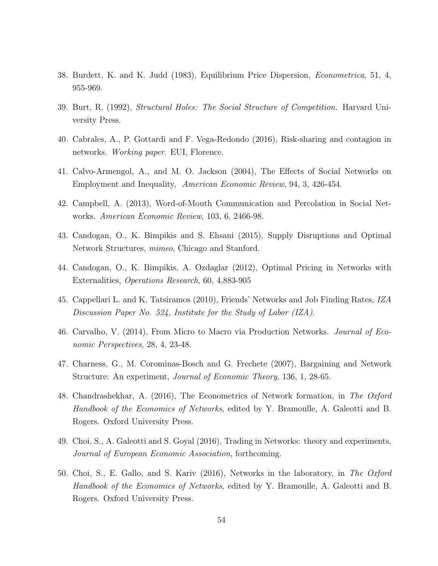- 38. Burdett, K. and K. Judd (1983), Equilibrium Price Dispersion, Econometrica, 51, 4, 955-969.
- 39. Burt, R. (1992), Structural Holes: The Social Structure of Competition. Harvard University Press.
- 40. Cabrales, A., P. Gottardi and F. Vega-Redondo (2016), Risk-sharing and contagion in networks. Working paper. EUI, Florence.
- 41. Calvo-Armengol, A., and M. O. Jackson (2004), The Effects of Social Networks on Employment and Inequality, American Economic Review, 94, 3, 426-454.
- 42. Campbell, A. (2013), Word-of-Mouth Communication and Percolation in Social Networks. American Economic Review, 103, 6, 2466-98.
- 43. Candogan, O., K. Bimpikis and S. Ehsani (2015), Supply Disruptions and Optimal Network Structures, mimeo, Chicago and Stanford.
- 44. Candogan, O., K. Bimpikis, A. Ozdaglar (2012), Optimal Pricing in Networks with Externalities, Operations Research, 60, 4,883-905
- 45. Cappellari L. and K. Tatsiramos (2010), Friends' Networks and Job Finding Rates, IZA Discussion Paper No. 524, Institute for the Study of Labor (IZA).
- 46. Carvalho, V. (2014), From Micro to Macro via Production Networks. Journal of Economic Perspectives, 28, 4, 23-48.
- 47. Charness, G., M. Corominas-Bosch and G. Frechete (2007), Bargaining and Network Structure: An experiment, *Journal of Economic Theory*, 136, 1, 28-65.
- 48. Chandrashekhar, A. (2016), The Econometrics of Network formation, in The Oxford Handbook of the Economics of Networks, edited by Y. Bramoulle, A. Galeotti and B. Rogers. Oxford University Press.
- 49. Choi, S., A. Galeotti and S. Goyal (2016), Trading in Networks: theory and experiments, Journal of European Economic Association, forthcoming.
- 50. Choi, S., E. Gallo, and S. Kariv (2016), Networks in the laboratory, in The Oxford Handbook of the Economics of Networks, edited by Y. Bramoulle, A. Galeotti and B. Rogers. Oxford University Press.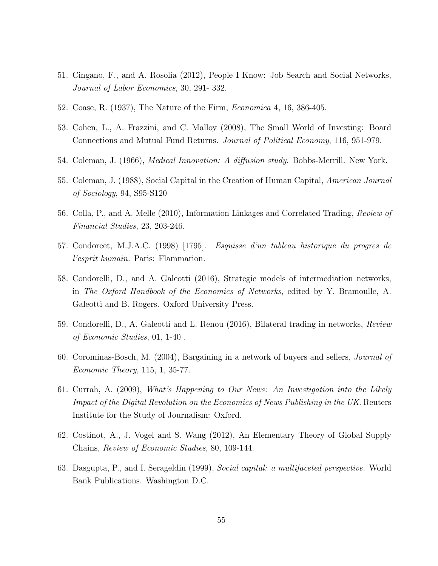- 51. Cingano, F., and A. Rosolia (2012), People I Know: Job Search and Social Networks, Journal of Labor Economics, 30, 291- 332.
- 52. Coase, R. (1937), The Nature of the Firm, Economica 4, 16, 386-405.
- 53. Cohen, L., A. Frazzini, and C. Malloy (2008), The Small World of Investing: Board Connections and Mutual Fund Returns. Journal of Political Economy, 116, 951-979.
- 54. Coleman, J. (1966), Medical Innovation: A diffusion study. Bobbs-Merrill. New York.
- 55. Coleman, J. (1988), Social Capital in the Creation of Human Capital, American Journal of Sociology, 94, S95-S120
- 56. Colla, P., and A. Melle (2010), Information Linkages and Correlated Trading, Review of Financial Studies, 23, 203-246.
- 57. Condorcet, M.J.A.C. (1998) [1795]. Esquisse d'un tableau historique du progres de l'esprit humain. Paris: Flammarion.
- 58. Condorelli, D., and A. Galeotti (2016), Strategic models of intermediation networks, in The Oxford Handbook of the Economics of Networks, edited by Y. Bramoulle, A. Galeotti and B. Rogers. Oxford University Press.
- 59. Condorelli, D., A. Galeotti and L. Renou (2016), Bilateral trading in networks, Review of Economic Studies, 01, 1-40 .
- 60. Corominas-Bosch, M. (2004), Bargaining in a network of buyers and sellers, Journal of Economic Theory, 115, 1, 35-77.
- 61. Currah, A. (2009), What's Happening to Our News: An Investigation into the Likely Impact of the Digital Revolution on the Economics of News Publishing in the UK. Reuters Institute for the Study of Journalism: Oxford.
- 62. Costinot, A., J. Vogel and S. Wang (2012), An Elementary Theory of Global Supply Chains, Review of Economic Studies, 80, 109-144.
- 63. Dasgupta, P., and I. Serageldin (1999), Social capital: a multifaceted perspective. World Bank Publications. Washington D.C.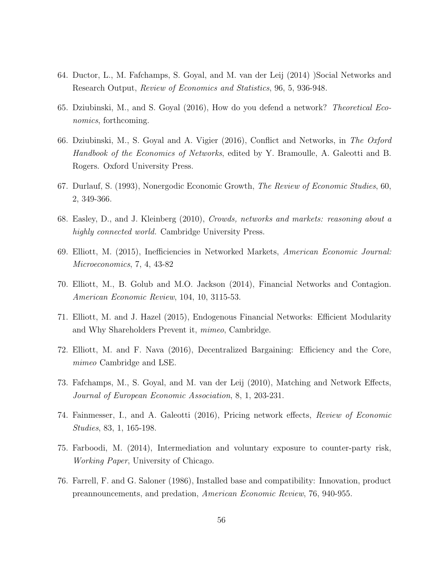- 64. Ductor, L., M. Fafchamps, S. Goyal, and M. van der Leij (2014) )Social Networks and Research Output, Review of Economics and Statistics, 96, 5, 936-948.
- 65. Dziubinski, M., and S. Goyal (2016), How do you defend a network? Theoretical Economics, forthcoming.
- 66. Dziubinski, M., S. Goyal and A. Vigier (2016), Conflict and Networks, in The Oxford Handbook of the Economics of Networks, edited by Y. Bramoulle, A. Galeotti and B. Rogers. Oxford University Press.
- 67. Durlauf, S. (1993), Nonergodic Economic Growth, The Review of Economic Studies, 60, 2, 349-366.
- 68. Easley, D., and J. Kleinberg (2010), Crowds, networks and markets: reasoning about a highly connected world. Cambridge University Press.
- 69. Elliott, M. (2015), Inefficiencies in Networked Markets, American Economic Journal: Microeconomics, 7, 4, 43-82
- 70. Elliott, M., B. Golub and M.O. Jackson (2014), Financial Networks and Contagion. American Economic Review, 104, 10, 3115-53.
- 71. Elliott, M. and J. Hazel (2015), Endogenous Financial Networks: Efficient Modularity and Why Shareholders Prevent it, mimeo, Cambridge.
- 72. Elliott, M. and F. Nava (2016), Decentralized Bargaining: Efficiency and the Core, mimeo Cambridge and LSE.
- 73. Fafchamps, M., S. Goyal, and M. van der Leij (2010), Matching and Network Effects, Journal of European Economic Association, 8, 1, 203-231.
- 74. Fainmesser, I., and A. Galeotti (2016), Pricing network effects, Review of Economic Studies, 83, 1, 165-198.
- 75. Farboodi, M. (2014), Intermediation and voluntary exposure to counter-party risk, Working Paper, University of Chicago.
- 76. Farrell, F. and G. Saloner (1986), Installed base and compatibility: Innovation, product preannouncements, and predation, American Economic Review, 76, 940-955.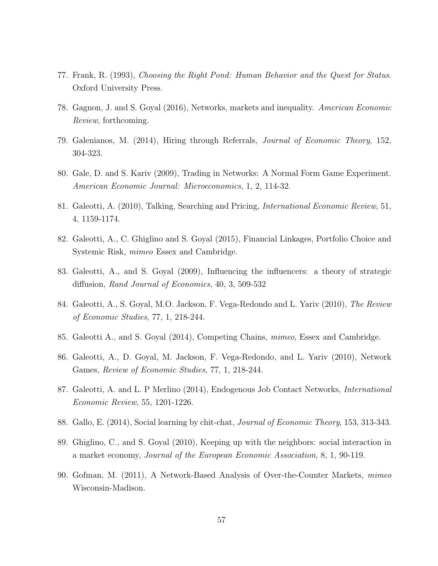- 77. Frank, R. (1993), Choosing the Right Pond: Human Behavior and the Quest for Status. Oxford University Press.
- 78. Gagnon, J. and S. Goyal (2016), Networks, markets and inequality. American Economic Review, forthcoming.
- 79. Galenianos, M. (2014), Hiring through Referrals, Journal of Economic Theory, 152, 304-323.
- 80. Gale, D. and S. Kariv (2009), Trading in Networks: A Normal Form Game Experiment. American Economic Journal: Microeconomics, 1, 2, 114-32.
- 81. Galeotti, A. (2010), Talking, Searching and Pricing, International Economic Review, 51, 4, 1159-1174.
- 82. Galeotti, A., C. Ghiglino and S. Goyal (2015), Financial Linkages, Portfolio Choice and Systemic Risk, mimeo Essex and Cambridge.
- 83. Galeotti, A., and S. Goyal (2009), Influencing the influencers: a theory of strategic diffusion, Rand Journal of Economics, 40, 3, 509-532
- 84. Galeotti, A., S. Goyal, M.O. Jackson, F. Vega-Redondo and L. Yariv (2010), The Review of Economic Studies, 77, 1, 218-244.
- 85. Galeotti A., and S. Goyal (2014), Competing Chains, mimeo, Essex and Cambridge.
- 86. Galeotti, A., D. Goyal, M. Jackson, F. Vega-Redondo, and L. Yariv (2010), Network Games, Review of Economic Studies, 77, 1, 218-244.
- 87. Galeotti, A. and L. P Merlino (2014), Endogenous Job Contact Networks, International Economic Review, 55, 1201-1226.
- 88. Gallo, E. (2014), Social learning by chit-chat, Journal of Economic Theory, 153, 313-343.
- 89. Ghiglino, C., and S. Goyal (2010), Keeping up with the neighbors: social interaction in a market economy, Journal of the European Economic Association, 8, 1, 90-119.
- 90. Gofman, M. (2011), A Network-Based Analysis of Over-the-Counter Markets, mimeo Wisconsin-Madison.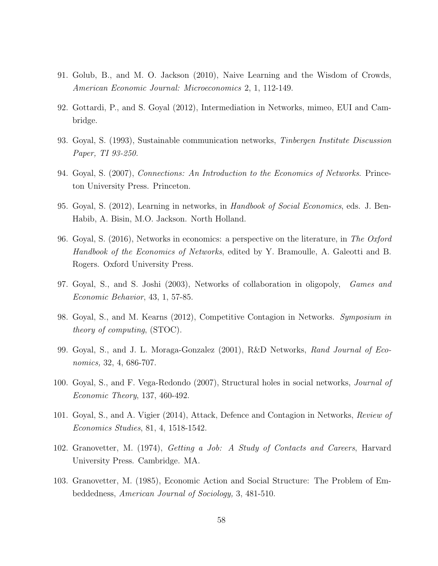- 91. Golub, B., and M. O. Jackson (2010), Naive Learning and the Wisdom of Crowds, American Economic Journal: Microeconomics 2, 1, 112-149.
- 92. Gottardi, P., and S. Goyal (2012), Intermediation in Networks, mimeo, EUI and Cambridge.
- 93. Goyal, S. (1993), Sustainable communication networks, Tinbergen Institute Discussion Paper, TI 93-250.
- 94. Goyal, S. (2007), Connections: An Introduction to the Economics of Networks. Princeton University Press. Princeton.
- 95. Goyal, S. (2012), Learning in networks, in Handbook of Social Economics, eds. J. Ben-Habib, A. Bisin, M.O. Jackson. North Holland.
- 96. Goyal, S. (2016), Networks in economics: a perspective on the literature, in The Oxford Handbook of the Economics of Networks, edited by Y. Bramoulle, A. Galeotti and B. Rogers. Oxford University Press.
- 97. Goyal, S., and S. Joshi (2003), Networks of collaboration in oligopoly, Games and Economic Behavior, 43, 1, 57-85.
- 98. Goyal, S., and M. Kearns (2012), Competitive Contagion in Networks. Symposium in theory of computing, (STOC).
- 99. Goyal, S., and J. L. Moraga-Gonzalez (2001), R&D Networks, Rand Journal of Economics, 32, 4, 686-707.
- 100. Goyal, S., and F. Vega-Redondo (2007), Structural holes in social networks, Journal of Economic Theory, 137, 460-492.
- 101. Goyal, S., and A. Vigier (2014), Attack, Defence and Contagion in Networks, Review of Economics Studies, 81, 4, 1518-1542.
- 102. Granovetter, M. (1974), Getting a Job: A Study of Contacts and Careers, Harvard University Press. Cambridge. MA.
- 103. Granovetter, M. (1985), Economic Action and Social Structure: The Problem of Embeddedness, American Journal of Sociology, 3, 481-510.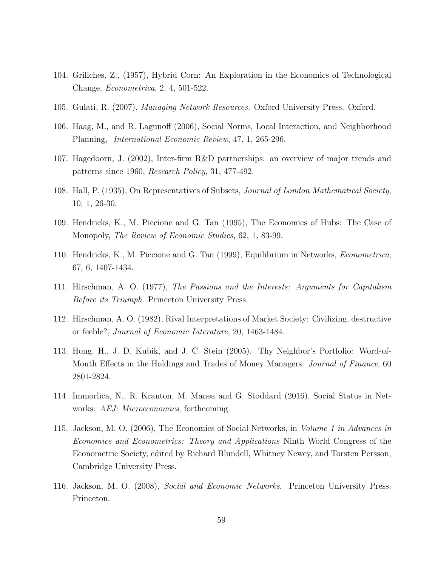- 104. Griliches, Z., (1957), Hybrid Corn: An Exploration in the Economics of Technological Change, Econometrica, 2, 4, 501-522.
- 105. Gulati, R. (2007), Managing Network Resources. Oxford University Press. Oxford.
- 106. Haag, M., and R. Lagunoff (2006), Social Norms, Local Interaction, and Neighborhood Planning, International Economic Review, 47, 1, 265-296.
- 107. Hagedoorn, J. (2002), Inter-firm R&D partnerships: an overview of major trends and patterns since 1960, Research Policy, 31, 477-492.
- 108. Hall, P. (1935), On Representatives of Subsets, Journal of London Mathematical Society, 10, 1, 26-30.
- 109. Hendricks, K., M. Piccione and G. Tan (1995), The Economics of Hubs: The Case of Monopoly, The Review of Economic Studies, 62, 1, 83-99.
- 110. Hendricks, K., M. Piccione and G. Tan (1999), Equilibrium in Networks, Econometrica, 67, 6, 1407-1434.
- 111. Hirschman, A. O. (1977), The Passions and the Interests: Arguments for Capitalism Before its Triumph. Princeton University Press.
- 112. Hirschman, A. O. (1982), Rival Interpretations of Market Society: Civilizing, destructive or feeble?, Journal of Economic Literature, 20, 1463-1484.
- 113. Hong, H., J. D. Kubik, and J. C. Stein (2005). Thy Neighbor's Portfolio: Word-of-Mouth Effects in the Holdings and Trades of Money Managers. *Journal of Finance*, 60 2801-2824.
- 114. Immorlica, N., R. Kranton, M. Manea and G. Stoddard (2016), Social Status in Networks. AEJ: Microeconomics, forthcoming.
- 115. Jackson, M. O. (2006), The Economics of Social Networks, in Volume 1 in Advances in Economics and Econometrics: Theory and Applications Ninth World Congress of the Econometric Society, edited by Richard Blundell, Whitney Newey, and Torsten Persson, Cambridge University Press.
- 116. Jackson, M. O. (2008), Social and Economic Networks. Princeton University Press. Princeton.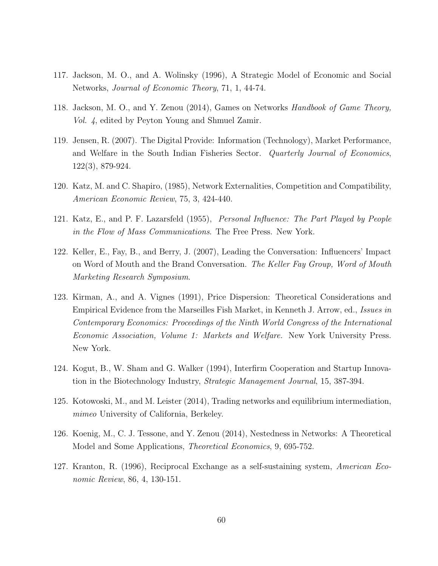- 117. Jackson, M. O., and A. Wolinsky (1996), A Strategic Model of Economic and Social Networks, Journal of Economic Theory, 71, 1, 44-74.
- 118. Jackson, M. O., and Y. Zenou (2014), Games on Networks Handbook of Game Theory, Vol. 4, edited by Peyton Young and Shmuel Zamir.
- 119. Jensen, R. (2007). The Digital Provide: Information (Technology), Market Performance, and Welfare in the South Indian Fisheries Sector. Quarterly Journal of Economics, 122(3), 879-924.
- 120. Katz, M. and C. Shapiro, (1985), Network Externalities, Competition and Compatibility, American Economic Review, 75, 3, 424-440.
- 121. Katz, E., and P. F. Lazarsfeld (1955), Personal Influence: The Part Played by People in the Flow of Mass Communications. The Free Press. New York.
- 122. Keller, E., Fay, B., and Berry, J. (2007), Leading the Conversation: Influencers' Impact on Word of Mouth and the Brand Conversation. The Keller Fay Group, Word of Mouth Marketing Research Symposium.
- 123. Kirman, A., and A. Vignes (1991), Price Dispersion: Theoretical Considerations and Empirical Evidence from the Marseilles Fish Market, in Kenneth J. Arrow, ed., Issues in Contemporary Economics: Proceedings of the Ninth World Congress of the International Economic Association, Volume 1: Markets and Welfare. New York University Press. New York.
- 124. Kogut, B., W. Sham and G. Walker (1994), Interfirm Cooperation and Startup Innovation in the Biotechnology Industry, Strategic Management Journal, 15, 387-394.
- 125. Kotowoski, M., and M. Leister (2014), Trading networks and equilibrium intermediation, mimeo University of California, Berkeley.
- 126. Koenig, M., C. J. Tessone, and Y. Zenou (2014), Nestedness in Networks: A Theoretical Model and Some Applications, Theoretical Economics, 9, 695-752.
- 127. Kranton, R. (1996), Reciprocal Exchange as a self-sustaining system, American Economic Review, 86, 4, 130-151.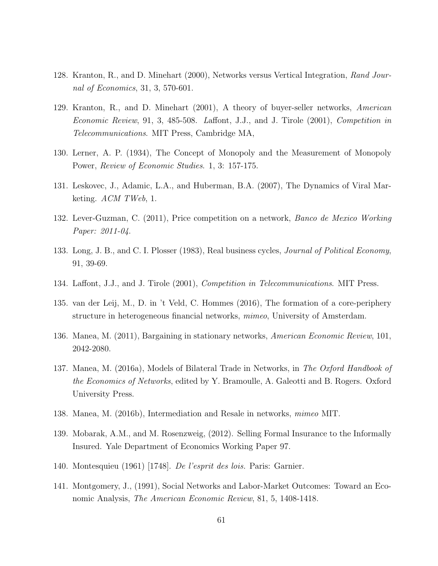- 128. Kranton, R., and D. Minehart (2000), Networks versus Vertical Integration, Rand Journal of Economics, 31, 3, 570-601.
- 129. Kranton, R., and D. Minehart (2001), A theory of buyer-seller networks, American Economic Review, 91, 3, 485-508. Laffont, J.J., and J. Tirole (2001), Competition in Telecommunications. MIT Press, Cambridge MA,
- 130. Lerner, A. P. (1934), The Concept of Monopoly and the Measurement of Monopoly Power, Review of Economic Studies. 1, 3: 157-175.
- 131. Leskovec, J., Adamic, L.A., and Huberman, B.A. (2007), The Dynamics of Viral Marketing. ACM TWeb, 1.
- 132. Lever-Guzman, C. (2011), Price competition on a network, Banco de Mexico Working Paper: 2011-04.
- 133. Long, J. B., and C. I. Plosser (1983), Real business cycles, *Journal of Political Economy*, 91, 39-69.
- 134. Laffont, J.J., and J. Tirole (2001), Competition in Telecommunications. MIT Press.
- 135. van der Leij, M., D. in 't Veld, C. Hommes (2016), The formation of a core-periphery structure in heterogeneous financial networks, mimeo, University of Amsterdam.
- 136. Manea, M. (2011), Bargaining in stationary networks, American Economic Review, 101, 2042-2080.
- 137. Manea, M. (2016a), Models of Bilateral Trade in Networks, in The Oxford Handbook of the Economics of Networks, edited by Y. Bramoulle, A. Galeotti and B. Rogers. Oxford University Press.
- 138. Manea, M. (2016b), Intermediation and Resale in networks, mimeo MIT.
- 139. Mobarak, A.M., and M. Rosenzweig, (2012). Selling Formal Insurance to the Informally Insured. Yale Department of Economics Working Paper 97.
- 140. Montesquieu (1961) [1748]. De l'esprit des lois. Paris: Garnier.
- 141. Montgomery, J., (1991), Social Networks and Labor-Market Outcomes: Toward an Economic Analysis, The American Economic Review, 81, 5, 1408-1418.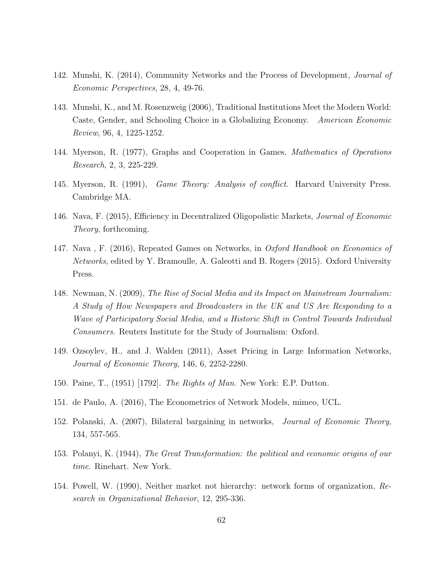- 142. Munshi, K. (2014), Community Networks and the Process of Development, Journal of Economic Perspectives, 28, 4, 49-76.
- 143. Munshi, K., and M. Rosenzweig (2006), Traditional Institutions Meet the Modern World: Caste, Gender, and Schooling Choice in a Globalizing Economy. American Economic Review, 96, 4, 1225-1252.
- 144. Myerson, R. (1977), Graphs and Cooperation in Games, Mathematics of Operations Research, 2, 3, 225-229.
- 145. Myerson, R. (1991), Game Theory: Analysis of conflict. Harvard University Press. Cambridge MA.
- 146. Nava, F. (2015), Efficiency in Decentralized Oligopolistic Markets, Journal of Economic Theory, forthcoming.
- 147. Nava , F. (2016), Repeated Games on Networks, in Oxford Handbook on Economics of Networks, edited by Y. Bramoulle, A. Galeotti and B. Rogers (2015). Oxford University Press.
- 148. Newman, N. (2009), The Rise of Social Media and its Impact on Mainstream Journalism: A Study of How Newspapers and Broadcasters in the UK and US Are Responding to a Wave of Participatory Social Media, and a Historic Shift in Control Towards Individual Consumers. Reuters Institute for the Study of Journalism: Oxford.
- 149. Ozsoylev, H., and J. Walden (2011), Asset Pricing in Large Information Networks, Journal of Economic Theory, 146, 6, 2252-2280.
- 150. Paine, T., (1951) [1792]. The Rights of Man. New York: E.P. Dutton.
- 151. de Paulo, A. (2016), The Econometrics of Network Models, mimeo, UCL.
- 152. Polanski, A. (2007), Bilateral bargaining in networks, Journal of Economic Theory, 134, 557-565.
- 153. Polanyi, K. (1944), The Great Transformation: the political and economic origins of our time. Rinehart. New York.
- 154. Powell, W. (1990), Neither market not hierarchy: network forms of organization, Research in Organizational Behavior, 12, 295-336.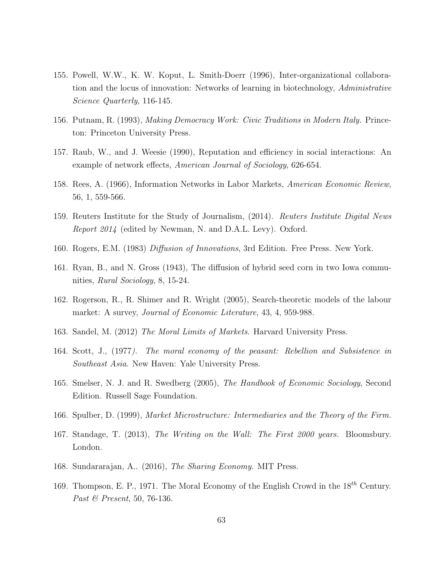- 155. Powell, W.W., K. W. Koput, L. Smith-Doerr (1996), Inter-organizational collaboration and the locus of innovation: Networks of learning in biotechnology, Administrative Science Quarterly, 116-145.
- 156. Putnam, R. (1993), Making Democracy Work: Civic Traditions in Modern Italy. Princeton: Princeton University Press.
- 157. Raub, W., and J. Weesie (1990), Reputation and efficiency in social interactions: An example of network effects, American Journal of Sociology, 626-654.
- 158. Rees, A. (1966), Information Networks in Labor Markets, American Economic Review, 56, 1, 559-566.
- 159. Reuters Institute for the Study of Journalism, (2014). Reuters Institute Digital News Report 2014 (edited by Newman, N. and D.A.L. Levy). Oxford.
- 160. Rogers, E.M. (1983) Diffusion of Innovations, 3rd Edition. Free Press. New York.
- 161. Ryan, B., and N. Gross (1943), The diffusion of hybrid seed corn in two Iowa communities, Rural Sociology, 8, 15-24.
- 162. Rogerson, R., R. Shimer and R. Wright (2005), Search-theoretic models of the labour market: A survey, *Journal of Economic Literature*, 43, 4, 959-988.
- 163. Sandel, M. (2012) The Moral Limits of Markets. Harvard University Press.
- 164. Scott, J., (1977). The moral economy of the peasant: Rebellion and Subsistence in Southeast Asia. New Haven: Yale University Press.
- 165. Smelser, N. J. and R. Swedberg (2005), The Handbook of Economic Sociology, Second Edition. Russell Sage Foundation.
- 166. Spulber, D. (1999), Market Microstructure: Intermediaries and the Theory of the Firm.
- 167. Standage, T. (2013), The Writing on the Wall: The First 2000 years. Bloomsbury. London.
- 168. Sundararajan, A.. (2016), The Sharing Economy. MIT Press.
- 169. Thompson, E. P., 1971. The Moral Economy of the English Crowd in the  $18^{th}$  Century. Past & Present, 50, 76-136.